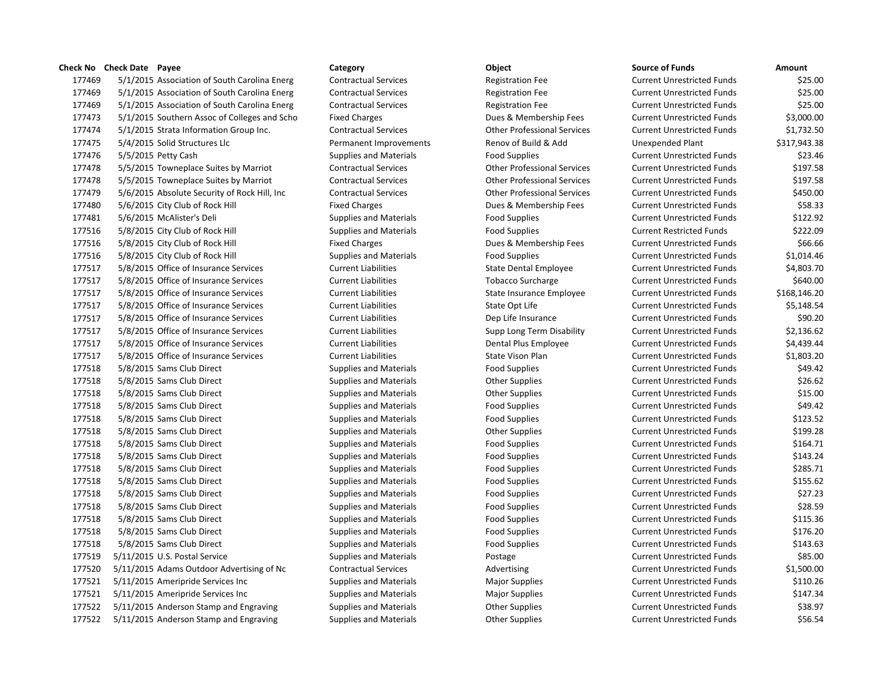177469 5/1/2015 Association of South Carolina Energ Contractual Services Registration Fee Current Cu 177469 5/1/2015 Association of South Carolina Energ Contractual Services Registration Fee Current Cu 177469 5/1/2015 Association of South Carolina Energ Contractual Services Registration Fee Current Current Current Cu 177473 5/1/2015 Southern Assoc of Colleges and Scho Fixed Charges Dues & Membership Fees Current Current Current Cu 177474 5/1/2015 Strata Information Group Inc. Contractual Services Current Conter Professional Services Current 177475 5/4/2015 Solid Structures Llc **Permanent Improvements** Renov of Build & Add Unexpended Plant & L 177476 5/5/2015 Petty Cash Supplies and Materials Food Supplies Current Unrestricted Current Current Current Cu 177478 5/5/2015 Towneplace Suites by Marriot Contractual Services Current Contractual Services Current Unrestrict 177478 5/5/2015 Towneplace Suites by Marriot Contractual Services Current Contractual Services Current Unrestricted Funds & Current Unrestricted Funds & Current Unrestricted Funds & Current Unrestricted Funds & Current Unr 177479 5/6/2015 Absolute Security of Rock Hill, Inc Contractual Services Current Conter Professional Services C 177480 5/6/2015 City Club of Rock Hill Fixed Charges Current Current Dues & Membership Fees Current Current Cu 177481 5/6/2015 McAlister's Deli Supplies and Materials Food Supplies Food Supplies Food Supplies 177516 5/8/2015 City Club of Rock Hill Supplies and Materials Food Supplies Food Supplies Current Restricted F 177516 5/8/2015 City Club of Rock Hill Fixed Charges Current Dues & Membership Fees Current Unrestricted Funds 177516 5/8/2015 City Club of Rock Hill Supplies and Materials Food Supplies Food Supplies 177517 5/8/2015 Office of Insurance Services Current Liabilities State Dental Employee Current Liabilities 177517 5/8/2015 Office of Insurance Services Current Liabilities Tobacco Surcharge Current Liabilities 177517 5/8/2015 Office of Insurance Services Current Liabilities State Insurance Employee Current Liabilities 177517 5/8/2015 Office of Insurance Services Current Liabilities State Opt Life Current Liabilities 177517 5/8/2015 Office of Insurance Services Current Liabilities Dep Life Insurance Current Liabilities 177517 5/8/2015 Office of Insurance Services Current Liabilities Supp Long Term Disability Current Liabilities 177517 5/8/2015 Office of Insurance Services Current Liabilities Dental Plus Employee Current Liabilities 177517 5/8/2015 Office of Insurance Services Current Liabilities State Vison Plan Current Liabilities 177518 5/8/2015 Sams Club Direct Supplies and Materials Food Supplies Food Supplies Current Unrestricted Funds 177518 5/8/2015 Sams Club Direct Supplies and Materials Current Supplies Current Units Current Unrestricted Funds & Current Current Other Supplies Current Other Supplies Current Current Current Units Sec. 62.622.62.62.62.6 177518 5/8/2015 Sams Club Direct Supplies and Materials Current Other Supplies Current Current Current Current C 177518 5/8/2015 Sams Club Direct Supplies and Materials Food Supplies Food Supplies Current Current Current Cu 177518 5/8/2015 Sams Club Direct Supplies and Materials Food Supplies Food Supplies Current Current Current Cu 177518 5/8/2015 Sams Club Direct Supplies and Materials Current Current Current Current Current Current Current Current Current Current Current Current Current Current Current Current Current Current Current Current Curren 177518 5/8/2015 Sams Club Direct Supplies and Materials Food Supplies Food Supplies Food Supplies Cu 177518 5/8/2015 Sams Club Direct Supplies and Materials Food Supplies Food Supplies Current Current Current Cu 177518 5/8/2015 Sams Club Direct Supplies and Materials Food Supplies Food Supplies Food Supplies 177518 5/8/2015 Sams Club Direct Supplies and Materials Food Supplies Food Supplies Current Current Current Cu 177518 5/8/2015 Sams Club Direct Supplies and Materials Food Supplies Food Supplies Food Supplies 177518 5/8/2015 Sams Club Direct Supplies and Materials Food Supplies Food Supplies Current Current Current Cu 177518 5/8/2015 Sams Club Direct Supplies and Materials Food Supplies Food Supplies Food Supplies 177518 5/8/2015 Sams Club Direct Supplies and Materials Food Supplies Food Supplies Food Supplies 177518 5/8/2015 Sams Club Direct Supplies and Materials Food Supplies Food Supplies Current Current Current Cu 177519 5/11/2015 U.S. Postal Service Supplies and Materials Supplies and Materials Research Designed Funds & C 177520 5/11/2015 Adams Outdoor Advertising of Nc Contractual Services Advertising Advertising Current Current C 177521 5/11/2015 Ameripride Services Inc Supplies and Materials Major Supplies Magnet Current Current Current C 177521 5/11/2015 Ameripride Services Inc Supplies and Materials Major Supplies Major Supplies Current Current Cu 177522 5/11/2015 Anderson Stamp and Engraving Supplies and Materials Current Cother Supplies Current Current C 177522 5/11/2015 Anderson Stamp and Engraving Supplies and Materials Current Current Other Supplies Current Cu

| ource of Funds             | Amount       |
|----------------------------|--------------|
| Current Unrestricted Funds | \$25.00      |
| Current Unrestricted Funds | \$25.00      |
| Current Unrestricted Funds | \$25.00      |
| Current Unrestricted Funds | \$3,000.00   |
| Current Unrestricted Funds | \$1,732.50   |
| <b>Jnexpended Plant</b>    | \$317,943.38 |
| Current Unrestricted Funds | \$23.46      |
| Current Unrestricted Funds | \$197.58     |
| Current Unrestricted Funds | \$197.58     |
| Current Unrestricted Funds | \$450.00     |
| Current Unrestricted Funds | \$58.33      |
| Current Unrestricted Funds | \$122.92     |
| Current Restricted Funds   | \$222.09     |
| Current Unrestricted Funds | \$66.66      |
| Current Unrestricted Funds | \$1,014.46   |
| Current Unrestricted Funds | \$4,803.70   |
| Current Unrestricted Funds | \$640.00     |
| Current Unrestricted Funds | \$168,146.20 |
| Current Unrestricted Funds | \$5,148.54   |
| Current Unrestricted Funds | \$90.20      |
| Current Unrestricted Funds | \$2,136.62   |
| Current Unrestricted Funds | \$4,439.44   |
| Current Unrestricted Funds | \$1,803.20   |
| Current Unrestricted Funds | \$49.42      |
| Current Unrestricted Funds | \$26.62      |
| Current Unrestricted Funds | \$15.00      |
| Current Unrestricted Funds | \$49.42      |
| Current Unrestricted Funds | \$123.52     |
| Current Unrestricted Funds | \$199.28     |
| Current Unrestricted Funds | \$164.71     |
| Current Unrestricted Funds | \$143.24     |
| Current Unrestricted Funds | \$285.71     |
| Current Unrestricted Funds | \$155.62     |
| Current Unrestricted Funds | \$27.23      |
| Current Unrestricted Funds | \$28.59      |
| Current Unrestricted Funds | \$115.36     |
| Current Unrestricted Funds | \$176.20     |
| Current Unrestricted Funds | \$143.63     |
| Current Unrestricted Funds | \$85.00      |
| Current Unrestricted Funds | \$1,500.00   |
| Current Unrestricted Funds | \$110.26     |
| Current Unrestricted Funds | \$147.34     |
| Current Unrestricted Funds | \$38.97      |
| Current Unrestricted Funds | \$56.54      |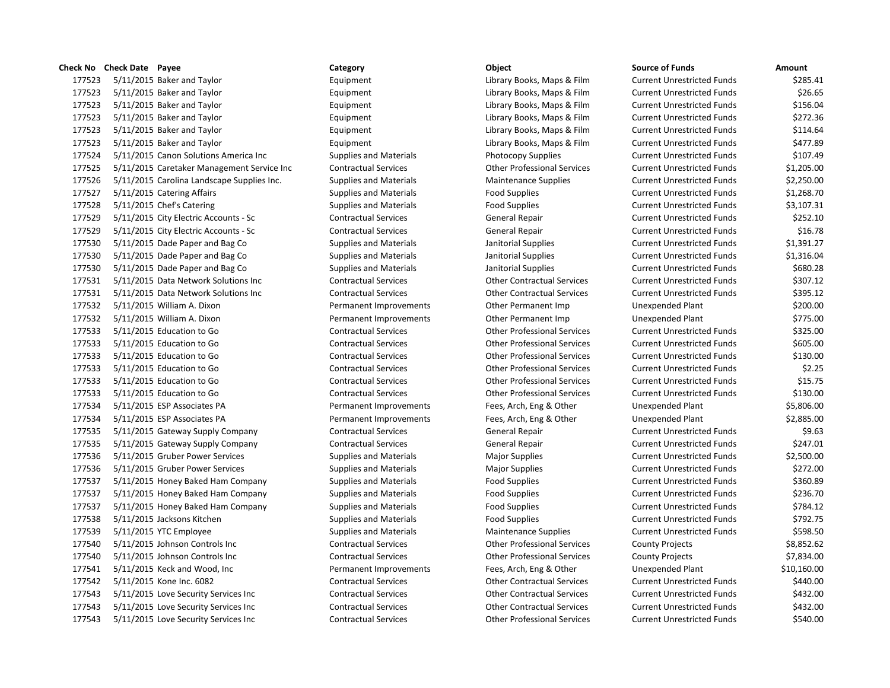|        | Check No Check Date Payee                  | Category                      | Object                             | <b>Source of Funds</b>            | Amount  |
|--------|--------------------------------------------|-------------------------------|------------------------------------|-----------------------------------|---------|
| 177523 | 5/11/2015 Baker and Taylor                 | Equipment                     | Library Books, Maps & Film         | <b>Current Unrestricted Funds</b> | \$28    |
| 177523 | 5/11/2015 Baker and Taylor                 | Equipment                     | Library Books, Maps & Film         | <b>Current Unrestricted Funds</b> | \$2     |
| 177523 | 5/11/2015 Baker and Taylor                 | Equipment                     | Library Books, Maps & Film         | <b>Current Unrestricted Funds</b> | \$15    |
| 177523 | 5/11/2015 Baker and Taylor                 | Equipment                     | Library Books, Maps & Film         | <b>Current Unrestricted Funds</b> | \$27    |
| 177523 | 5/11/2015 Baker and Taylor                 | Equipment                     | Library Books, Maps & Film         | <b>Current Unrestricted Funds</b> | \$11    |
| 177523 | 5/11/2015 Baker and Taylor                 | Equipment                     | Library Books, Maps & Film         | <b>Current Unrestricted Funds</b> | \$47    |
| 177524 | 5/11/2015 Canon Solutions America Inc      | <b>Supplies and Materials</b> | Photocopy Supplies                 | <b>Current Unrestricted Funds</b> | \$10    |
| 177525 | 5/11/2015 Caretaker Management Service Inc | <b>Contractual Services</b>   | <b>Other Professional Services</b> | <b>Current Unrestricted Funds</b> | \$1,20  |
| 177526 | 5/11/2015 Carolina Landscape Supplies Inc. | <b>Supplies and Materials</b> | <b>Maintenance Supplies</b>        | <b>Current Unrestricted Funds</b> | \$2,25  |
| 177527 | 5/11/2015 Catering Affairs                 | <b>Supplies and Materials</b> | <b>Food Supplies</b>               | <b>Current Unrestricted Funds</b> | \$1,26  |
| 177528 | 5/11/2015 Chef's Catering                  | <b>Supplies and Materials</b> | <b>Food Supplies</b>               | <b>Current Unrestricted Funds</b> | \$3,10  |
| 177529 | 5/11/2015 City Electric Accounts - Sc      | <b>Contractual Services</b>   | General Repair                     | <b>Current Unrestricted Funds</b> | \$25    |
| 177529 | 5/11/2015 City Electric Accounts - Sc      | <b>Contractual Services</b>   | <b>General Repair</b>              | <b>Current Unrestricted Funds</b> | \$1     |
| 177530 | 5/11/2015 Dade Paper and Bag Co            | <b>Supplies and Materials</b> | Janitorial Supplies                | <b>Current Unrestricted Funds</b> | \$1,39  |
| 177530 | 5/11/2015 Dade Paper and Bag Co            | <b>Supplies and Materials</b> | Janitorial Supplies                | <b>Current Unrestricted Funds</b> | \$1,31  |
| 177530 | 5/11/2015 Dade Paper and Bag Co            | <b>Supplies and Materials</b> | Janitorial Supplies                | <b>Current Unrestricted Funds</b> | \$68    |
| 177531 | 5/11/2015 Data Network Solutions Inc       | <b>Contractual Services</b>   | <b>Other Contractual Services</b>  | <b>Current Unrestricted Funds</b> | \$30    |
| 177531 | 5/11/2015 Data Network Solutions Inc       | <b>Contractual Services</b>   | <b>Other Contractual Services</b>  | <b>Current Unrestricted Funds</b> | \$39    |
| 177532 | 5/11/2015 William A. Dixon                 | Permanent Improvements        | Other Permanent Imp                | <b>Unexpended Plant</b>           | \$20    |
| 177532 | 5/11/2015 William A. Dixon                 | Permanent Improvements        | Other Permanent Imp                | Unexpended Plant                  | \$77    |
| 177533 | 5/11/2015 Education to Go                  | <b>Contractual Services</b>   | <b>Other Professional Services</b> | <b>Current Unrestricted Funds</b> | \$32    |
| 177533 | 5/11/2015 Education to Go                  | <b>Contractual Services</b>   | <b>Other Professional Services</b> | <b>Current Unrestricted Funds</b> | \$60    |
| 177533 | 5/11/2015 Education to Go                  | <b>Contractual Services</b>   | <b>Other Professional Services</b> | <b>Current Unrestricted Funds</b> | \$13    |
| 177533 | 5/11/2015 Education to Go                  | <b>Contractual Services</b>   | <b>Other Professional Services</b> | <b>Current Unrestricted Funds</b> | \$      |
| 177533 | 5/11/2015 Education to Go                  | <b>Contractual Services</b>   | <b>Other Professional Services</b> | <b>Current Unrestricted Funds</b> | \$1     |
| 177533 | 5/11/2015 Education to Go                  | <b>Contractual Services</b>   | <b>Other Professional Services</b> | <b>Current Unrestricted Funds</b> | \$13    |
| 177534 | 5/11/2015 ESP Associates PA                | Permanent Improvements        | Fees, Arch, Eng & Other            | <b>Unexpended Plant</b>           | \$5,80  |
| 177534 | 5/11/2015 ESP Associates PA                | Permanent Improvements        | Fees, Arch, Eng & Other            | Unexpended Plant                  | \$2,88  |
| 177535 | 5/11/2015 Gateway Supply Company           | <b>Contractual Services</b>   | General Repair                     | <b>Current Unrestricted Funds</b> | Ś       |
| 177535 | 5/11/2015 Gateway Supply Company           | <b>Contractual Services</b>   | General Repair                     | <b>Current Unrestricted Funds</b> | \$24    |
| 177536 | 5/11/2015 Gruber Power Services            | <b>Supplies and Materials</b> | <b>Major Supplies</b>              | <b>Current Unrestricted Funds</b> | \$2,50  |
| 177536 | 5/11/2015 Gruber Power Services            | <b>Supplies and Materials</b> | <b>Major Supplies</b>              | <b>Current Unrestricted Funds</b> | \$27    |
| 177537 | 5/11/2015 Honey Baked Ham Company          | <b>Supplies and Materials</b> | <b>Food Supplies</b>               | <b>Current Unrestricted Funds</b> | \$36    |
| 177537 | 5/11/2015 Honey Baked Ham Company          | <b>Supplies and Materials</b> | <b>Food Supplies</b>               | <b>Current Unrestricted Funds</b> | \$23    |
| 177537 | 5/11/2015 Honey Baked Ham Company          | <b>Supplies and Materials</b> | <b>Food Supplies</b>               | <b>Current Unrestricted Funds</b> | \$78    |
| 177538 | 5/11/2015 Jacksons Kitchen                 | <b>Supplies and Materials</b> | <b>Food Supplies</b>               | <b>Current Unrestricted Funds</b> | \$79    |
| 177539 | 5/11/2015 YTC Employee                     | <b>Supplies and Materials</b> | <b>Maintenance Supplies</b>        | <b>Current Unrestricted Funds</b> | \$59    |
| 177540 | 5/11/2015 Johnson Controls Inc             | <b>Contractual Services</b>   | <b>Other Professional Services</b> | <b>County Projects</b>            | \$8,85  |
| 177540 | 5/11/2015 Johnson Controls Inc             | <b>Contractual Services</b>   | <b>Other Professional Services</b> | <b>County Projects</b>            | \$7,83  |
| 177541 | 5/11/2015 Keck and Wood, Inc               | Permanent Improvements        | Fees, Arch, Eng & Other            | Unexpended Plant                  | \$10,16 |
| 177542 | 5/11/2015 Kone Inc. 6082                   | <b>Contractual Services</b>   | <b>Other Contractual Services</b>  | <b>Current Unrestricted Funds</b> | \$44    |
| 177543 | 5/11/2015 Love Security Services Inc       | <b>Contractual Services</b>   | <b>Other Contractual Services</b>  | <b>Current Unrestricted Funds</b> | \$43    |
| 177543 | 5/11/2015 Love Security Services Inc       | <b>Contractual Services</b>   | <b>Other Contractual Services</b>  | <b>Current Unrestricted Funds</b> | \$43    |
| 177543 | 5/11/2015 Love Security Services Inc       | <b>Contractual Services</b>   | <b>Other Professional Services</b> | <b>Current Unrestricted Funds</b> | \$54    |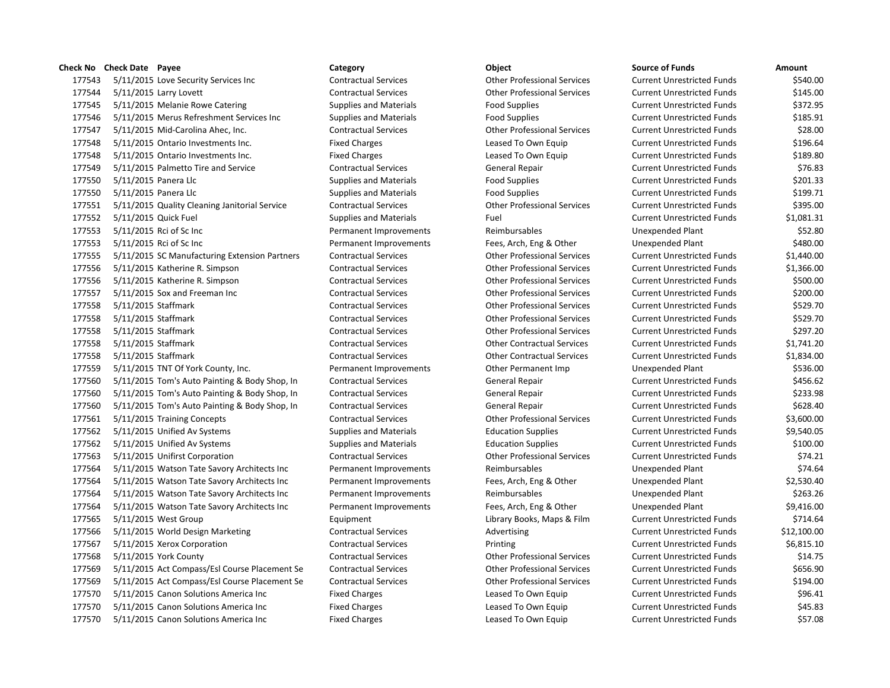| 177543 |                      | 5/11/2015 Love Security Services Inc          |
|--------|----------------------|-----------------------------------------------|
| 177544 |                      | 5/11/2015 Larry Lovett                        |
| 177545 |                      | 5/11/2015 Melanie Rowe Catering               |
| 177546 |                      | 5/11/2015 Merus Refreshment Services Inc      |
| 177547 |                      | 5/11/2015 Mid-Carolina Ahec, Inc.             |
| 177548 |                      | 5/11/2015 Ontario Investments Inc.            |
| 177548 |                      | 5/11/2015 Ontario Investments Inc.            |
| 177549 |                      | 5/11/2015 Palmetto Tire and Service           |
| 177550 | 5/11/2015 Panera Llc |                                               |
| 177550 | 5/11/2015 Panera Llc |                                               |
| 177551 |                      | 5/11/2015 Quality Cleaning Janitorial Service |
| 177552 | 5/11/2015 Quick Fuel |                                               |
| 177553 |                      | 5/11/2015 Rci of Sc Inc                       |
| 177553 |                      | 5/11/2015 Rci of Sc Inc                       |
| 177555 |                      | 5/11/2015 SC Manufacturing Extension Partners |
| 177556 |                      | 5/11/2015 Katherine R. Simpson                |
| 177556 |                      | 5/11/2015 Katherine R. Simpson                |
| 177557 |                      | 5/11/2015 Sox and Freeman Inc                 |
| 177558 | 5/11/2015 Staffmark  |                                               |
| 177558 | 5/11/2015 Staffmark  |                                               |
| 177558 | 5/11/2015 Staffmark  |                                               |
| 177558 | 5/11/2015 Staffmark  |                                               |
| 177558 | 5/11/2015 Staffmark  |                                               |
| 177559 |                      | 5/11/2015 TNT Of York County, Inc.            |
| 177560 |                      | 5/11/2015 Tom's Auto Painting & Body Shop, In |
| 177560 |                      | 5/11/2015 Tom's Auto Painting & Body Shop, In |
| 177560 |                      | 5/11/2015 Tom's Auto Painting & Body Shop, In |
| 177561 |                      | 5/11/2015 Training Concepts                   |
| 177562 |                      | 5/11/2015 Unified Av Systems                  |
| 177562 |                      | 5/11/2015 Unified Av Systems                  |
| 177563 |                      | 5/11/2015 Unifirst Corporation                |
| 177564 |                      | 5/11/2015 Watson Tate Savory Architects Inc   |
| 177564 |                      | 5/11/2015 Watson Tate Savory Architects Inc   |
| 177564 |                      | 5/11/2015 Watson Tate Savory Architects Inc   |
| 177564 |                      | 5/11/2015 Watson Tate Savory Architects Inc   |
| 177565 |                      | 5/11/2015 West Group                          |
| 177566 |                      | 5/11/2015 World Design Marketing              |
| 177567 |                      | 5/11/2015 Xerox Corporation                   |
| 177568 |                      | 5/11/2015 York County                         |
| 177569 |                      | 5/11/2015 Act Compass/Esl Course Placement Se |
| 177569 |                      | 5/11/2015 Act Compass/Esl Course Placement Se |
| 177570 |                      | 5/11/2015 Canon Solutions America Inc         |
| 177570 |                      | 5/11/2015 Canon Solutions America Inc         |
| 177570 |                      | 5/11/2015 Canon Solutions America Inc         |

 5/11/2015 Love Security Services Inc Contractual Services Other Professional Services Current Unrestricted Funds \$540.00 5/11/2015 Larry Lovett Contractual Services Other Professional Services Current Unrestricted Funds \$145.00 5/11/2015 Melanie Rowe Catering Supplies and Materials Food Supplies Current Unrestricted Funds \$372.95 5/11/2015 Merus Refreshment Services Inc Supplies and Materials Food Supplies Current Unrestricted Funds \$185.91 5/11/2015 Mid-Carolina Ahec, Inc. Contractual Services Other Professional Services Current Unrestricted Funds \$28.00 Fixed Charges **1775 Example 2015** Current Unrestricted Funds 5196.64 5/11/2015 Ontario Investments Inc. Fixed Charges Leased To Own Equip Current Unrestricted Funds \$189.80 5/11/2015 Palmetto Tire and Service Contractual Services General Repair Current Unrestricted Funds \$76.83 5/11/2015 Panera Llc Supplies and Materials Food Supplies Current Unrestricted Funds \$201.33 5/11/2015 Panera Llc Supplies and Materials Food Supplies Current Unrestricted Funds \$199.71 5/11/2015 Quality Cleaning Janitorial Service Contractual Services Other Professional Services Current Unrestricted Funds \$395.00 5/11/2015 Quick Fuel Supplies and Materials Fuel Current Unrestricted Funds \$1,081.31 Permanent Improvements **1775** Reimbursables **Reimbursables** Unexpended Plant 1952.80 1755 Permanent Improvements Fees, Arch, Eng & Other Chern Unexpended Plant \$480.00 5/11/2015 SC Manufacturing Extension Partners Contractual Services Other Professional Services Current Unrestricted Funds \$1,440.00 5/11/2015 Katherine R. Simpson Contractual Services Other Professional Services Current Unrestricted Funds \$1,366.00 5/11/2015 Katherine R. Simpson Contractual Services Other Professional Services Current Unrestricted Funds \$500.00 5/11/2015 Sox and Freeman Inc Contractual Services Other Professional Services Current Unrestricted Funds \$200.00 5/11/2015 Staffmark Contractual Services Other Professional Services Current Unrestricted Funds \$529.70 5/11/2015 Staffmark Contractual Services Other Professional Services Current Unrestricted Funds \$529.70 5/11/2015 Staffmark Contractual Services Other Professional Services Current Unrestricted Funds \$297.20 5/11/2015 Staffmark Contractual Services Other Contractual Services Current Unrestricted Funds \$1,741.20 5/11/2015 Staffmark Contractual Services Other Contractual Services Current Unrestricted Funds \$1,834.00 17536.00 Permanent Improvements Communication County, Inc. Permanent Imp 5/11/2015 Tom's Auto Painting & Body Shop, In Contractual Services General Repair Current Unrestricted Funds \$456.62 5/11/2015 Tom's Auto Painting & Body Shop, In Contractual Services General Repair Current Unrestricted Funds \$233.98 5/11/2015 Tom's Auto Painting & Body Shop, In Contractual Services General Repair Current Unrestricted Funds \$628.40 5/11/2015 Training Concepts Contractual Services Other Professional Services Current Unrestricted Funds \$3,600.00 5/11/2015 Unified Av Systems Supplies and Materials Education Supplies Current Unrestricted Funds \$9,540.05 5/11/2015 Unified Av Systems Supplies and Materials Education Supplies Current Unrestricted Funds \$100.00 5/11/2015 Unifirst Corporation Contractual Services Other Professional Services Current Unrestricted Funds \$74.21 1774.64 Permanent Improvements Reimbursables Reimbursables Unexpended Plant 17756 17756 Permanent Improvements Fees, Arch, Eng & Other Unexpended Plant \$2,530.40 1756 1775 1775 Fermanent Improvements Reimbursables Communication Unexpended Plant Permanent Improvements Fees, Arch, Eng & Other Unexpended Plant \$9,416.00 Equipment 1717 Library Books, Maps & Film Current Unrestricted Funds \$714.64 5/11/2015 World Design Marketing Contractual Services Advertising Current Unrestricted Funds \$12,100.00 177567 Contractual Services Contractual Services Printing Printing Current Unrestricted Funds Current Unrestricted Funds 5/11/2015 York County Contractual Services Other Professional Services Current Unrestricted Funds \$14.75 5/11/2015 Act Compass/Esl Course Placement Se Contractual Services Other Professional Services Current Unrestricted Funds \$656.90 e Contractual Services Compassional Services Current Unrestricted Funds Current Contractual Services Current Unrestricted Funds \$194.00 Fixed Charges **Example 2017** Leased To Own Equip Current Unrestricted Funds \$96.41 Fixed Charges The Superior Cleased To Own Equip Current Unrestricted Funds \$45.83 17757.08 1775 Fixed Charges Leased To Own Equip Current Unrestricted Funds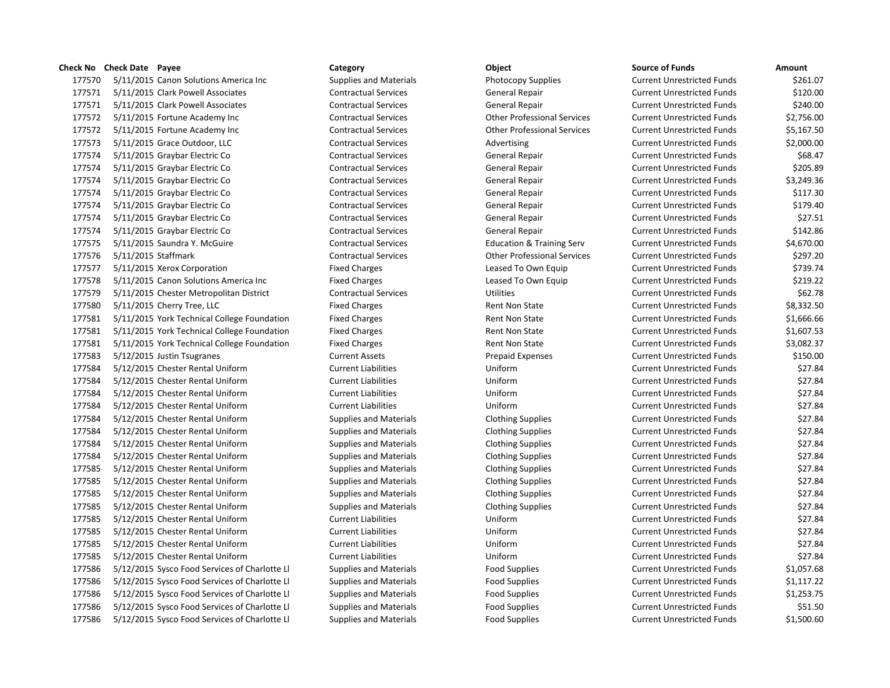5/11/2015 Canon Solutions America Inc Supplies and Materials Photocopy Supplies Current Unrestricted Funds \$261.07 5/11/2015 Clark Powell Associates Contractual Services General Repair Current Unrestricted Funds \$120.00 5/11/2015 Clark Powell Associates Contractual Services General Repair Current Unrestricted Funds \$240.00 5/11/2015 Fortune Academy Inc Contractual Services Other Professional Services Current Unrestricted Funds \$2,756.00 5/11/2015 Fortune Academy Inc Contractual Services Other Professional Services Current Unrestricted Funds \$5,167.50 177573 5/11/2015 Grace Outdoor, LLC Contractual Services Advertising Current Unrestricted Funds \$2,000.00 5/11/2015 Graybar Electric Co Contractual Services General Repair Current Unrestricted Funds \$68.47 5/11/2015 Graybar Electric Co Contractual Services General Repair Current Unrestricted Funds \$205.89 5/11/2015 Graybar Electric Co Contractual Services General Repair Current Unrestricted Funds \$3,249.36 5/11/2015 Graybar Electric Co Contractual Services General Repair Current Unrestricted Funds \$117.30 5/11/2015 Graybar Electric Co Contractual Services General Repair Current Unrestricted Funds \$179.40 5/11/2015 Graybar Electric Co Contractual Services General Repair Current Unrestricted Funds \$27.51 5/11/2015 Graybar Electric Co Contractual Services General Repair Current Unrestricted Funds \$142.86 5/11/2015 Saundra Y. McGuire Contractual Services Education & Training Serv Current Unrestricted Funds \$4,670.00 5/11/2015 Staffmark Contractual Services Other Professional Services Current Unrestricted Funds \$297.20 5/11/2015 Xerox Corporation Fixed Charges Leased To Own Equip Current Unrestricted Funds \$739.74 5/11/2015 Canon Solutions America Inc Fixed Charges Leased To Own Equip Current Unrestricted Funds \$219.22 5/11/2015 Chester Metropolitan District Contractual Services Utilities Current Unrestricted Funds \$62.78 177580 5/11/2015 Cherry Tree, LLC **Fixed Charges** Fixed Charges Rent Non State Current Unrestricted Funds \$8,332.50 177581 5/11/2015 York Technical College Foundation Fixed Charges Rent Non State Current Unrestricted Funds \$1,666.66 177581 5/11/2015 York Technical College Foundation Fixed Charges Rent Non State Current Unrestricted Funds \$1,607.53 177581 5/11/2015 York Technical College Foundation Fixed Charges Rent Non State Current Unrestricted Funds \$3,082.37 5/12/2015 Justin Tsugranes Current Assets Prepaid Expenses Current Unrestricted Funds \$150.00 5/12/2015 Chester Rental Uniform Current Liabilities Uniform Current Unrestricted Funds \$27.84 5/12/2015 Chester Rental Uniform Current Liabilities Uniform Current Unrestricted Funds \$27.84 5/12/2015 Chester Rental Uniform Current Liabilities Uniform Current Unrestricted Funds \$27.84 5/12/2015 Chester Rental Uniform Current Liabilities Uniform Current Unrestricted Funds \$27.84 5/12/2015 Chester Rental Uniform Supplies and Materials Clothing Supplies Current Unrestricted Funds \$27.84 5/12/2015 Chester Rental Uniform Supplies and Materials Clothing Supplies Current Unrestricted Funds \$27.84 5/12/2015 Chester Rental Uniform Supplies and Materials Clothing Supplies Current Unrestricted Funds \$27.84 5/12/2015 Chester Rental Uniform Supplies and Materials Clothing Supplies Current Unrestricted Funds \$27.84 5/12/2015 Chester Rental Uniform Supplies and Materials Clothing Supplies Current Unrestricted Funds \$27.84 5/12/2015 Chester Rental Uniform Supplies and Materials Clothing Supplies Current Unrestricted Funds \$27.84 5/12/2015 Chester Rental Uniform Supplies and Materials Clothing Supplies Current Unrestricted Funds \$27.84 5/12/2015 Chester Rental Uniform Supplies and Materials Clothing Supplies Current Unrestricted Funds \$27.84 5/12/2015 Chester Rental Uniform Current Liabilities Uniform Current Unrestricted Funds \$27.84 5/12/2015 Chester Rental Uniform Current Liabilities Uniform Current Unrestricted Funds \$27.84 5/12/2015 Chester Rental Uniform Current Liabilities Uniform Current Unrestricted Funds \$27.84 5/12/2015 Chester Rental Uniform Current Liabilities Uniform Current Unrestricted Funds \$27.84 5/12/2015 Sysco Food Services of Charlotte Ll Supplies and Materials Food Supplies Current Unrestricted Funds \$1,057.68 5/12/2015 Sysco Food Services of Charlotte Ll Supplies and Materials Food Supplies Current Unrestricted Funds \$1,117.22 5/12/2015 Sysco Food Services of Charlotte Ll Supplies and Materials Food Supplies Current Unrestricted Funds \$1,253.75 5/12/2015 Sysco Food Services of Charlotte Ll Supplies and Materials Food Supplies Current Unrestricted Funds \$51.50 5/12/2015 Sysco Food Services of Charlotte Ll Supplies and Materials Food Supplies Current Unrestricted Funds \$1,500.60

**Check No Check Date Payee Category Object Source of Funds Amount**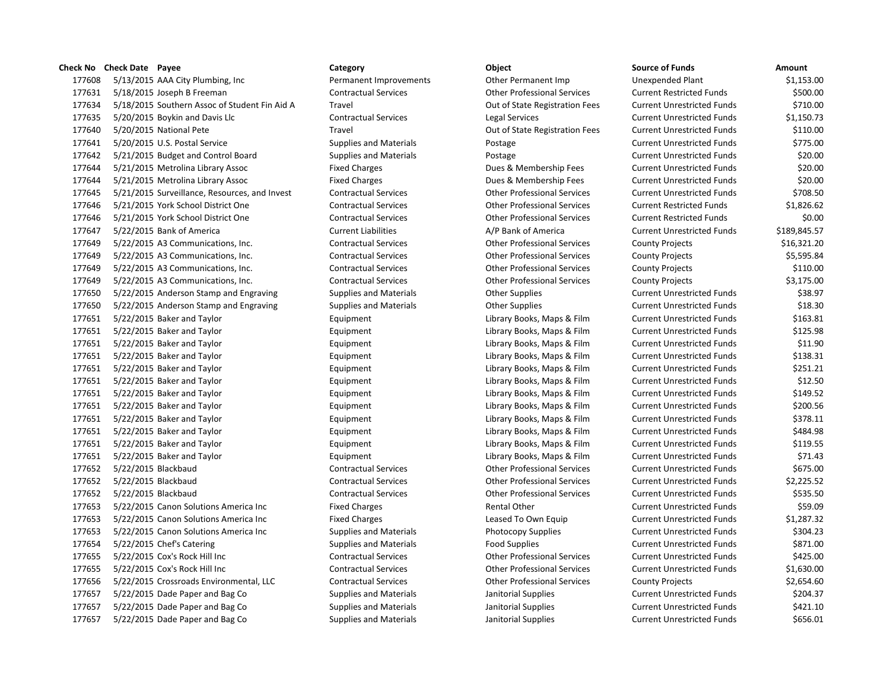177608 5/13/2015 AAA City Plumbing, Inc Permanent Improvements Other Permanent Imp 177631 5/18/2015 Joseph B Freeman Contractual Services Contractual Services Current Restricted Funds & Trans & Contractual Services 177634 5/18/2015 Southern Assoc of Student Fin Aid A Travel Travel Current Current Current Current Current Out of State Registration Fees 177635 5/20/2015 Boykin and Davis Llc Contractual Services Legal Services 177640 5/20/2015 National Pete Travel Travel Current Current Out of State Registration Fees 177641 5/20/2015 U.S. Postal Service Supplies and Materials Postage Postage 177642 5/21/2015 Budget and Control Board Supplies and Materials Postage Postage 177644 5/21/2015 Metrolina Library Assoc Fixed Charges Fixed Charges Dues & Membership Fees 177644 5/21/2015 Metrolina Library Assoc Fixed Charges Fixed Charges Dues & Membership Fees 177645 5/21/2015 Surveillance, Resources, and Invest Contractual Services Contractual Services Current Professional Services 177646 5/21/2015 York School District One Contractual Services Current Restricted Funds Services Current Restr 177646 5/21/2015 York School District One Contractual Services Current Restricted Funds Services Current Restrict 177647 5/22/2015 Bank of America Current Liabilities A/P Bank of America Current Liabilities 177649 5/22/2015 A3 Communications, Inc. Contractual Services County Professional Services 177649 5/22/2015 A3 Communications, Inc. Contractual Services Other Professional Services 177649 5/22/2015 A3 Communications, Inc. Contractual Services Other Professional Services 177649 5/22/2015 A3 Communications, Inc. Contractual Services Other Professional Services 177650 5/22/2015 Anderson Stamp and Engraving Supplies and Materials Current Current Current Unrestricted Fund 177650 5/22/2015 Anderson Stamp and Engraving Supplies and Materials Current Current Current Unrestricted Fund 177651 5/22/2015 Baker and Taylor **Equipment** Equipment Library Books, Maps & Film 177651 5/22/2015 Baker and Taylor **Equipment** Equipment Library Books, Maps & Film 177651 5/22/2015 Baker and Taylor **Equipment** Equipment Library Books, Maps & Film 177651 5/22/2015 Baker and Taylor **Equipment** Equipment Library Books, Maps & Film 177651 5/22/2015 Baker and Taylor **Equipment** Equipment Library Books, Maps & Film 177651 5/22/2015 Baker and Taylor **Equipment** Equipment Library Books, Maps & Film 177651 5/22/2015 Baker and Taylor **Equipment** Equipment Library Books, Maps & Film 177651 5/22/2015 Baker and Taylor **Equipment** Equipment Library Books, Maps & Film 177651 5/22/2015 Baker and Taylor **Equipment** Equipment Library Books, Maps & Film 177651 5/22/2015 Baker and Taylor **Equipment** Equipment Library Books, Maps & Film 177651 5/22/2015 Baker and Taylor **Equipment** Equipment Library Books, Maps & Film 177651 5/22/2015 Baker and Taylor **Equipment** Equipment Library Books, Maps & Film 177652 5/22/2015 Blackbaud Contractual Services Other Professional Services 177652 5/22/2015 Blackbaud Contractual Services Contractual Services Current Current Current Unrestricted Fund 177652 5/22/2015 Blackbaud Contractual Services Contractual Services Current Current Current Unrestricted Fund 177653 5/22/2015 Canon Solutions America Inc Fixed Charges Funds 86.000 Rental Other 177653 5/22/2015 Canon Solutions America Inc Fixed Charges Funds Equip Leased To Own Equip 177653 5/22/2015 Canon Solutions America Inc Supplies and Materials Photocopy Supplies 177654 5/22/2015 Chef's Catering Supplies and Materials Food Supplies Food Supplies 177655 5/22/2015 Cox's Rock Hill Inc Contractual Services Current Current Current Other Professional Services 177655 5/22/2015 Cox's Rock Hill Inc Contractual Services Other Professional Services 177656 5/22/2015 Crossroads Environmental, LLC Contractual Services Other Professional Services 177657 5/22/2015 Dade Paper and Bag Co Supplies and Materials Janitorial Supplies 177657 5/22/2015 Dade Paper and Bag Co Supplies and Materials Janitorial Supplies 177657 5/22/2015 Dade Paper and Bag Co Supplies and Materials Janitorial Supplies

| source or Funas            | Amount       |
|----------------------------|--------------|
| Jnexpended Plant           | \$1,153.00   |
| Current Restricted Funds   | \$500.00     |
| Current Unrestricted Funds | \$710.00     |
| Current Unrestricted Funds | \$1,150.73   |
| Current Unrestricted Funds | \$110.00     |
| Current Unrestricted Funds | \$775.00     |
| Current Unrestricted Funds | \$20.00      |
| Current Unrestricted Funds | \$20.00      |
| Current Unrestricted Funds | \$20.00      |
| Current Unrestricted Funds | \$708.50     |
| Current Restricted Funds   | \$1,826.62   |
| Current Restricted Funds   | \$0.00       |
| Current Unrestricted Funds | \$189,845.57 |
| County Projects            | \$16,321.20  |
| County Projects            | \$5,595.84   |
| County Projects            | \$110.00     |
| County Projects            | \$3,175.00   |
| Current Unrestricted Funds | \$38.97      |
| Current Unrestricted Funds | \$18.30      |
| Current Unrestricted Funds | \$163.81     |
| Current Unrestricted Funds | \$125.98     |
| Current Unrestricted Funds | \$11.90      |
| Current Unrestricted Funds | \$138.31     |
| Current Unrestricted Funds | \$251.21     |
| Current Unrestricted Funds | \$12.50      |
| Current Unrestricted Funds | \$149.52     |
| Current Unrestricted Funds | \$200.56     |
| Current Unrestricted Funds | \$378.11     |
| Current Unrestricted Funds | \$484.98     |
| Current Unrestricted Funds | \$119.55     |
| Current Unrestricted Funds | \$71.43      |
| Current Unrestricted Funds | \$675.00     |
| Current Unrestricted Funds | \$2,225.52   |
| Current Unrestricted Funds | \$535.50     |
| Current Unrestricted Funds | \$59.09      |
| Current Unrestricted Funds | \$1,287.32   |
| Current Unrestricted Funds | \$304.23     |
| Current Unrestricted Funds | \$871.00     |
| Current Unrestricted Funds | \$425.00     |
| Current Unrestricted Funds | \$1,630.00   |
| County Projects            | \$2,654.60   |
| Current Unrestricted Funds | \$204.37     |
| Current Unrestricted Funds | \$421.10     |
| Currant Unractrictad Funds | \$656.01     |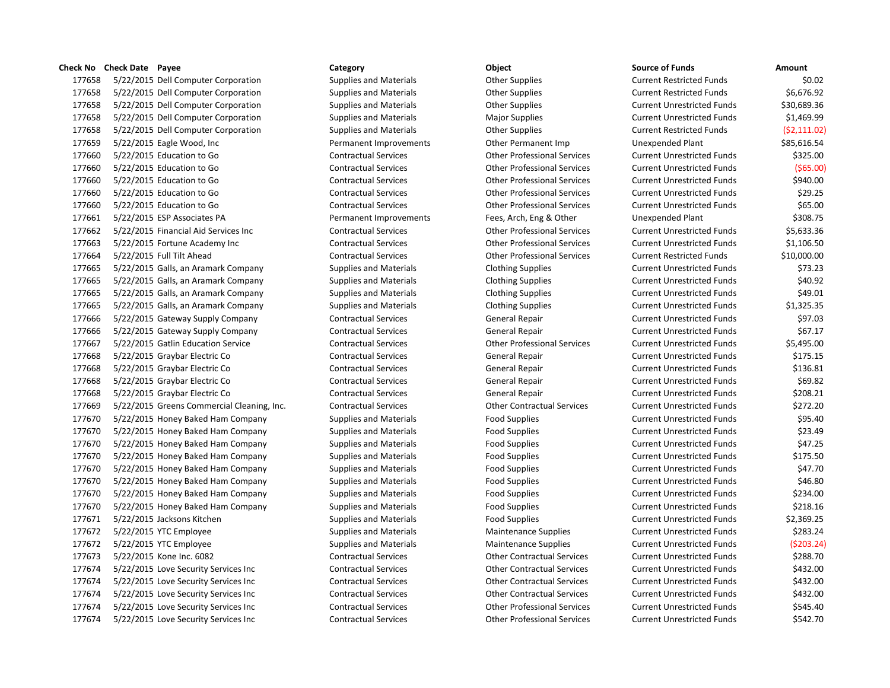5/22/2015 Dell Computer Corporation Supplies and Materials Other Supplies Current Restricted Funds \$0.02 5/22/2015 Dell Computer Corporation Supplies and Materials Other Supplies Current Restricted Funds \$6,676.92 5/22/2015 Dell Computer Corporation Supplies and Materials Other Supplies Current Unrestricted Funds \$30,689.36 5/22/2015 Dell Computer Corporation Supplies and Materials Major Supplies Current Unrestricted Funds \$1,469.99 5/22/2015 Dell Computer Corporation Supplies and Materials Other Supplies Current Restricted Funds (\$2,111.02) 5/22/2015 Eagle Wood, Inc Permanent Improvements Other Permanent Imp Unexpended Plant \$85,616.54 5/22/2015 Education to Go Contractual Services Other Professional Services Current Unrestricted Funds \$325.00 5/22/2015 Education to Go Contractual Services Other Professional Services Current Unrestricted Funds (\$65.00) 5/22/2015 Education to Go Contractual Services Other Professional Services Current Unrestricted Funds \$940.00 5/22/2015 Education to Go Contractual Services Other Professional Services Current Unrestricted Funds \$29.25 5/22/2015 Education to Go Contractual Services Other Professional Services Current Unrestricted Funds \$65.00 5/22/2015 ESP Associates PA Permanent Improvements Fees, Arch, Eng & Other Unexpended Plant \$308.75 5/22/2015 Financial Aid Services Inc Contractual Services Other Professional Services Current Unrestricted Funds \$5,633.36 5/22/2015 Fortune Academy Inc Contractual Services Other Professional Services Current Unrestricted Funds \$1,106.50 5/22/2015 Full Tilt Ahead Contractual Services Other Professional Services Current Restricted Funds \$10,000.00 177665 5/22/2015 Galls, an Aramark Company Supplies and Materials Clothing Supplies Current Unrestricted Funds \$73.23 177665 5/22/2015 Galls, an Aramark Company Supplies and Materials Clothing Supplies Current Unrestricted Funds \$40.92 177665 5/22/2015 Galls, an Aramark Company Supplies and Materials Clothing Supplies Current Unrestricted Funds \$49.01 5/22/2015 Galls, an Aramark Company Supplies and Materials Clothing Supplies Current Unrestricted Funds \$1,325.35 5/22/2015 Gateway Supply Company Contractual Services General Repair Current Unrestricted Funds \$97.03 5/22/2015 Gateway Supply Company Contractual Services General Repair Current Unrestricted Funds \$67.17 5/22/2015 Gatlin Education Service Contractual Services Other Professional Services Current Unrestricted Funds \$5,495.00 5/22/2015 Graybar Electric Co Contractual Services General Repair Current Unrestricted Funds \$175.15 5/22/2015 Graybar Electric Co Contractual Services General Repair Current Unrestricted Funds \$136.81 5/22/2015 Graybar Electric Co Contractual Services General Repair Current Unrestricted Funds \$69.82 5/22/2015 Graybar Electric Co Contractual Services General Repair Current Unrestricted Funds \$208.21 5/22/2015 Greens Commercial Cleaning, Inc. Contractual Services Other Contractual Services Current Unrestricted Funds \$272.20 5/22/2015 Honey Baked Ham Company Supplies and Materials Food Supplies Current Unrestricted Funds \$95.40 5/22/2015 Honey Baked Ham Company Supplies and Materials Food Supplies Current Unrestricted Funds \$23.49 5/22/2015 Honey Baked Ham Company Supplies and Materials Food Supplies Current Unrestricted Funds \$47.25 5/22/2015 Honey Baked Ham Company Supplies and Materials Food Supplies Current Unrestricted Funds \$175.50 5/22/2015 Honey Baked Ham Company Supplies and Materials Food Supplies Current Unrestricted Funds \$47.70 5/22/2015 Honey Baked Ham Company Supplies and Materials Food Supplies Current Unrestricted Funds \$46.80 5/22/2015 Honey Baked Ham Company Supplies and Materials Food Supplies Current Unrestricted Funds \$234.00 5/22/2015 Honey Baked Ham Company Supplies and Materials Food Supplies Current Unrestricted Funds \$218.16 5/22/2015 Jacksons Kitchen Supplies and Materials Food Supplies Current Unrestricted Funds \$2,369.25 5/22/2015 YTC Employee Supplies and Materials Maintenance Supplies Current Unrestricted Funds \$283.24 5/22/2015 YTC Employee Supplies and Materials Maintenance Supplies Current Unrestricted Funds (\$203.24) 5/22/2015 Kone Inc. 6082 Contractual Services Other Contractual Services Current Unrestricted Funds \$288.70 5/22/2015 Love Security Services Inc Contractual Services Other Contractual Services Current Unrestricted Funds \$432.00 5/22/2015 Love Security Services Inc Contractual Services Other Contractual Services Current Unrestricted Funds \$432.00 5/22/2015 Love Security Services Inc Contractual Services Other Contractual Services Current Unrestricted Funds \$432.00 5/22/2015 Love Security Services Inc Contractual Services Other Professional Services Current Unrestricted Funds \$545.40 5/22/2015 Love Security Services Inc Contractual Services Other Professional Services Current Unrestricted Funds \$542.70

| ource of Funds |  |
|----------------|--|
|----------------|--|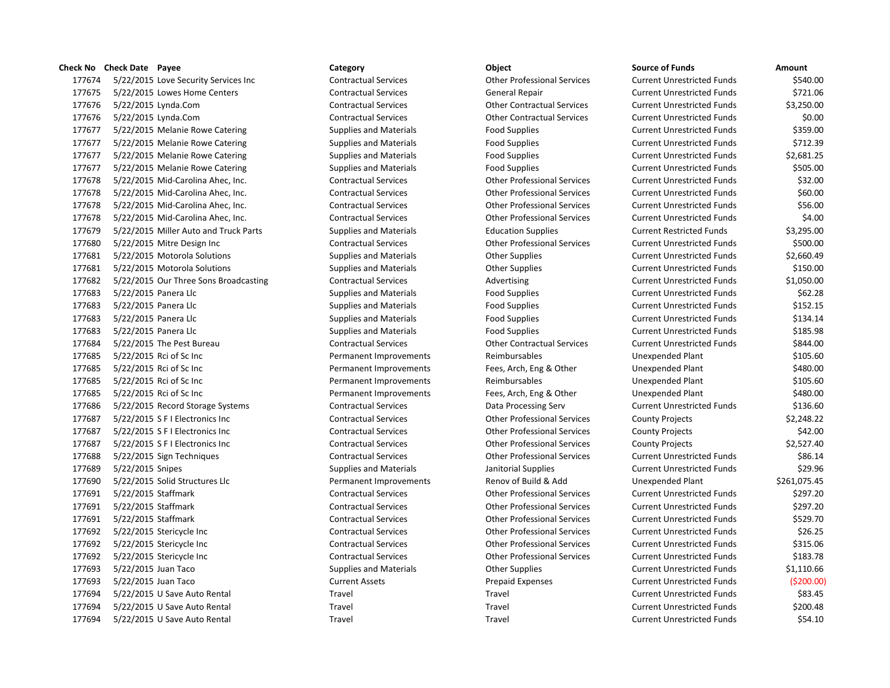### **Check No Check Date Payee Category Category Check No Check Date Payee Category Check Date Amount**

| ck No  | <b>Check Date Payee</b>               | Category                      | Object                             | <b>Source of Funds</b>            | Amount       |
|--------|---------------------------------------|-------------------------------|------------------------------------|-----------------------------------|--------------|
| 177674 | 5/22/2015 Love Security Services Inc  | <b>Contractual Services</b>   | <b>Other Professional Services</b> | <b>Current Unrestricted Funds</b> | \$540.00     |
| 177675 | 5/22/2015 Lowes Home Centers          | <b>Contractual Services</b>   | <b>General Repair</b>              | <b>Current Unrestricted Funds</b> | \$721.06     |
| 177676 | 5/22/2015 Lynda.Com                   | <b>Contractual Services</b>   | <b>Other Contractual Services</b>  | <b>Current Unrestricted Funds</b> | \$3,250.00   |
| 177676 | 5/22/2015 Lynda.Com                   | <b>Contractual Services</b>   | <b>Other Contractual Services</b>  | <b>Current Unrestricted Funds</b> | \$0.00       |
| 177677 | 5/22/2015 Melanie Rowe Catering       | <b>Supplies and Materials</b> | <b>Food Supplies</b>               | <b>Current Unrestricted Funds</b> | \$359.00     |
| 177677 | 5/22/2015 Melanie Rowe Catering       | <b>Supplies and Materials</b> | <b>Food Supplies</b>               | <b>Current Unrestricted Funds</b> | \$712.39     |
| 177677 | 5/22/2015 Melanie Rowe Catering       | <b>Supplies and Materials</b> | <b>Food Supplies</b>               | <b>Current Unrestricted Funds</b> | \$2,681.25   |
| 177677 | 5/22/2015 Melanie Rowe Catering       | <b>Supplies and Materials</b> | <b>Food Supplies</b>               | <b>Current Unrestricted Funds</b> | \$505.00     |
| 177678 | 5/22/2015 Mid-Carolina Ahec, Inc.     | <b>Contractual Services</b>   | <b>Other Professional Services</b> | <b>Current Unrestricted Funds</b> | \$32.00      |
| 177678 | 5/22/2015 Mid-Carolina Ahec, Inc.     | <b>Contractual Services</b>   | <b>Other Professional Services</b> | <b>Current Unrestricted Funds</b> | \$60.00      |
| 177678 | 5/22/2015 Mid-Carolina Ahec, Inc.     | <b>Contractual Services</b>   | <b>Other Professional Services</b> | <b>Current Unrestricted Funds</b> | \$56.00      |
| 177678 | 5/22/2015 Mid-Carolina Ahec, Inc.     | <b>Contractual Services</b>   | <b>Other Professional Services</b> | <b>Current Unrestricted Funds</b> | \$4.00       |
| 177679 | 5/22/2015 Miller Auto and Truck Parts | <b>Supplies and Materials</b> | <b>Education Supplies</b>          | <b>Current Restricted Funds</b>   | \$3,295.00   |
| 177680 | 5/22/2015 Mitre Design Inc            | <b>Contractual Services</b>   | <b>Other Professional Services</b> | <b>Current Unrestricted Funds</b> | \$500.00     |
| 177681 | 5/22/2015 Motorola Solutions          | <b>Supplies and Materials</b> | <b>Other Supplies</b>              | <b>Current Unrestricted Funds</b> | \$2,660.49   |
| 177681 | 5/22/2015 Motorola Solutions          | <b>Supplies and Materials</b> | <b>Other Supplies</b>              | <b>Current Unrestricted Funds</b> | \$150.00     |
| 177682 | 5/22/2015 Our Three Sons Broadcasting | <b>Contractual Services</b>   | Advertising                        | <b>Current Unrestricted Funds</b> | \$1,050.00   |
| 177683 | 5/22/2015 Panera Llc                  | <b>Supplies and Materials</b> | <b>Food Supplies</b>               | <b>Current Unrestricted Funds</b> | \$62.28      |
| 177683 | 5/22/2015 Panera Llc                  | <b>Supplies and Materials</b> | <b>Food Supplies</b>               | <b>Current Unrestricted Funds</b> | \$152.15     |
| 177683 | 5/22/2015 Panera Llc                  | <b>Supplies and Materials</b> | <b>Food Supplies</b>               | <b>Current Unrestricted Funds</b> | \$134.14     |
| 177683 | 5/22/2015 Panera Llc                  | <b>Supplies and Materials</b> | <b>Food Supplies</b>               | <b>Current Unrestricted Funds</b> | \$185.98     |
| 177684 | 5/22/2015 The Pest Bureau             | <b>Contractual Services</b>   | <b>Other Contractual Services</b>  | <b>Current Unrestricted Funds</b> | \$844.00     |
| 177685 | 5/22/2015 Rci of Sc Inc               | Permanent Improvements        | Reimbursables                      | Unexpended Plant                  | \$105.60     |
| 177685 | 5/22/2015 Rci of Sc Inc               | Permanent Improvements        | Fees, Arch, Eng & Other            | Unexpended Plant                  | \$480.00     |
| 177685 | 5/22/2015 Rci of Sc Inc               | Permanent Improvements        | Reimbursables                      | Unexpended Plant                  | \$105.60     |
| 177685 | 5/22/2015 Rci of Sc Inc               | Permanent Improvements        | Fees, Arch, Eng & Other            | <b>Unexpended Plant</b>           | \$480.00     |
| 177686 | 5/22/2015 Record Storage Systems      | <b>Contractual Services</b>   | Data Processing Serv               | <b>Current Unrestricted Funds</b> | \$136.60     |
| 177687 | 5/22/2015 S F I Electronics Inc       | <b>Contractual Services</b>   | <b>Other Professional Services</b> | <b>County Projects</b>            | \$2,248.22   |
| 177687 | 5/22/2015 S F I Electronics Inc       | <b>Contractual Services</b>   | <b>Other Professional Services</b> | <b>County Projects</b>            | \$42.00      |
| 177687 | 5/22/2015 S F I Electronics Inc       | <b>Contractual Services</b>   | <b>Other Professional Services</b> | <b>County Projects</b>            | \$2,527.40   |
| 177688 | 5/22/2015 Sign Techniques             | <b>Contractual Services</b>   | <b>Other Professional Services</b> | <b>Current Unrestricted Funds</b> | \$86.14      |
| 177689 | 5/22/2015 Snipes                      | <b>Supplies and Materials</b> | Janitorial Supplies                | <b>Current Unrestricted Funds</b> | \$29.96      |
| 177690 | 5/22/2015 Solid Structures Llc        | Permanent Improvements        | Renov of Build & Add               | <b>Unexpended Plant</b>           | \$261,075.45 |
| 177691 | 5/22/2015 Staffmark                   | <b>Contractual Services</b>   | <b>Other Professional Services</b> | <b>Current Unrestricted Funds</b> | \$297.20     |
| 177691 | 5/22/2015 Staffmark                   | <b>Contractual Services</b>   | <b>Other Professional Services</b> | <b>Current Unrestricted Funds</b> | \$297.20     |
| 177691 | 5/22/2015 Staffmark                   | <b>Contractual Services</b>   | <b>Other Professional Services</b> | <b>Current Unrestricted Funds</b> | \$529.70     |
| 177692 | 5/22/2015 Stericycle Inc              | <b>Contractual Services</b>   | <b>Other Professional Services</b> | <b>Current Unrestricted Funds</b> | \$26.25      |
| 177692 | 5/22/2015 Stericycle Inc              | <b>Contractual Services</b>   | <b>Other Professional Services</b> | <b>Current Unrestricted Funds</b> | \$315.06     |
| 177692 | 5/22/2015 Stericycle Inc              | <b>Contractual Services</b>   | <b>Other Professional Services</b> | <b>Current Unrestricted Funds</b> | \$183.78     |
| 177693 | 5/22/2015 Juan Taco                   | <b>Supplies and Materials</b> | <b>Other Supplies</b>              | <b>Current Unrestricted Funds</b> | \$1,110.66   |
| 177693 | 5/22/2015 Juan Taco                   | <b>Current Assets</b>         | <b>Prepaid Expenses</b>            | <b>Current Unrestricted Funds</b> | ( \$200.00]  |
| 177694 | 5/22/2015 U Save Auto Rental          | Travel                        | Travel                             | <b>Current Unrestricted Funds</b> | \$83.45      |
| 177694 | 5/22/2015 U Save Auto Rental          | Travel                        | Travel                             | <b>Current Unrestricted Funds</b> | \$200.48     |
| 177694 | 5/22/2015 U Save Auto Rental          | Travel                        | Travel                             | <b>Current Unrestricted Funds</b> | \$54.10      |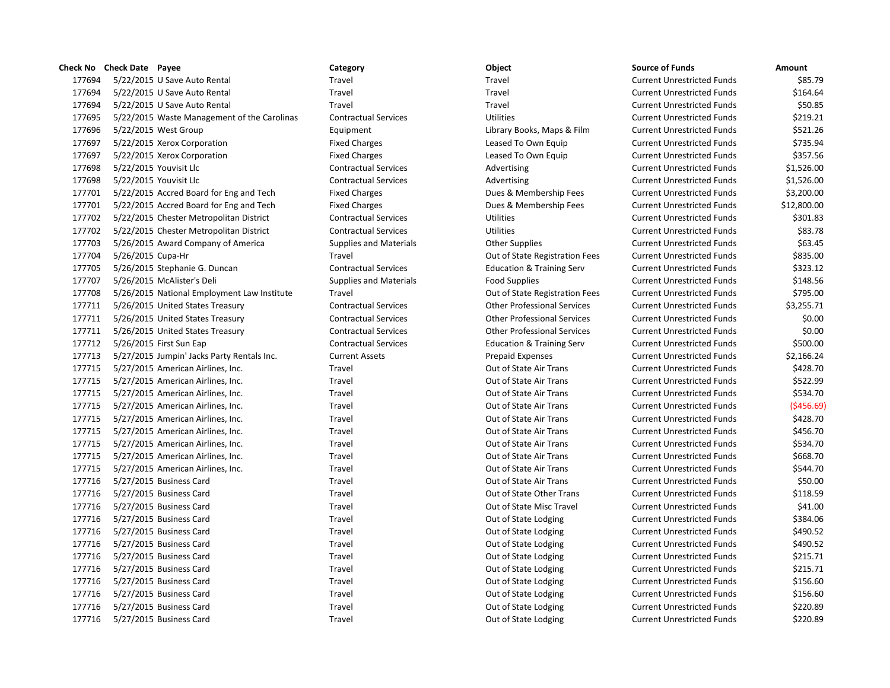|        | Check No Check Date Payee  |                                             | Category                      | Object                               | <b>Source of Funds</b>            | Amount  |
|--------|----------------------------|---------------------------------------------|-------------------------------|--------------------------------------|-----------------------------------|---------|
| 177694 |                            | 5/22/2015 U Save Auto Rental                | Travel                        | Travel                               | <b>Current Unrestricted Funds</b> | \$8     |
| 177694 |                            | 5/22/2015 U Save Auto Rental                | Travel                        | Travel                               | <b>Current Unrestricted Funds</b> | \$16    |
| 177694 |                            | 5/22/2015 U Save Auto Rental                | Travel                        | Travel                               | <b>Current Unrestricted Funds</b> | \$5     |
| 177695 |                            | 5/22/2015 Waste Management of the Carolinas | <b>Contractual Services</b>   | <b>Utilities</b>                     | <b>Current Unrestricted Funds</b> | \$21    |
| 177696 | 5/22/2015 West Group       |                                             | Equipment                     | Library Books, Maps & Film           | <b>Current Unrestricted Funds</b> | \$52    |
| 177697 |                            | 5/22/2015 Xerox Corporation                 | <b>Fixed Charges</b>          | Leased To Own Equip                  | <b>Current Unrestricted Funds</b> | \$73    |
| 177697 |                            | 5/22/2015 Xerox Corporation                 | <b>Fixed Charges</b>          | Leased To Own Equip                  | <b>Current Unrestricted Funds</b> | \$35    |
| 177698 | 5/22/2015 Youvisit Llc     |                                             | <b>Contractual Services</b>   | Advertising                          | <b>Current Unrestricted Funds</b> | \$1,52  |
| 177698 | 5/22/2015 Youvisit Llc     |                                             | <b>Contractual Services</b>   | Advertising                          | <b>Current Unrestricted Funds</b> | \$1,52  |
| 177701 |                            | 5/22/2015 Accred Board for Eng and Tech     | <b>Fixed Charges</b>          | Dues & Membership Fees               | <b>Current Unrestricted Funds</b> | \$3,20  |
| 177701 |                            | 5/22/2015 Accred Board for Eng and Tech     | <b>Fixed Charges</b>          | Dues & Membership Fees               | <b>Current Unrestricted Funds</b> | \$12,80 |
| 177702 |                            | 5/22/2015 Chester Metropolitan District     | <b>Contractual Services</b>   | <b>Utilities</b>                     | <b>Current Unrestricted Funds</b> | \$30    |
| 177702 |                            | 5/22/2015 Chester Metropolitan District     | <b>Contractual Services</b>   | <b>Utilities</b>                     | <b>Current Unrestricted Funds</b> | \$8     |
| 177703 |                            | 5/26/2015 Award Company of America          | <b>Supplies and Materials</b> | <b>Other Supplies</b>                | <b>Current Unrestricted Funds</b> | \$6     |
| 177704 | 5/26/2015 Cupa-Hr          |                                             | Travel                        | Out of State Registration Fees       | <b>Current Unrestricted Funds</b> | \$83    |
| 177705 |                            | 5/26/2015 Stephanie G. Duncan               | <b>Contractual Services</b>   | <b>Education &amp; Training Serv</b> | <b>Current Unrestricted Funds</b> | \$32    |
| 177707 | 5/26/2015 McAlister's Deli |                                             | <b>Supplies and Materials</b> | <b>Food Supplies</b>                 | <b>Current Unrestricted Funds</b> | \$14    |
| 177708 |                            | 5/26/2015 National Employment Law Institute | Travel                        | Out of State Registration Fees       | <b>Current Unrestricted Funds</b> | \$79    |
| 177711 |                            | 5/26/2015 United States Treasury            | <b>Contractual Services</b>   | <b>Other Professional Services</b>   | <b>Current Unrestricted Funds</b> | \$3,25  |
| 177711 |                            | 5/26/2015 United States Treasury            | <b>Contractual Services</b>   | <b>Other Professional Services</b>   | <b>Current Unrestricted Funds</b> | Ś       |
| 177711 |                            | 5/26/2015 United States Treasury            | <b>Contractual Services</b>   | <b>Other Professional Services</b>   | <b>Current Unrestricted Funds</b> | S       |
| 177712 | 5/26/2015 First Sun Eap    |                                             | <b>Contractual Services</b>   | <b>Education &amp; Training Serv</b> | <b>Current Unrestricted Funds</b> | \$50    |
| 177713 |                            | 5/27/2015 Jumpin' Jacks Party Rentals Inc.  | <b>Current Assets</b>         | <b>Prepaid Expenses</b>              | <b>Current Unrestricted Funds</b> | \$2,16  |
| 177715 |                            | 5/27/2015 American Airlines, Inc.           | Travel                        | Out of State Air Trans               | <b>Current Unrestricted Funds</b> | \$42    |
| 177715 |                            | 5/27/2015 American Airlines, Inc.           | Travel                        | Out of State Air Trans               | <b>Current Unrestricted Funds</b> | \$52    |
| 177715 |                            | 5/27/2015 American Airlines, Inc.           | Travel                        | Out of State Air Trans               | <b>Current Unrestricted Funds</b> | \$53    |
| 177715 |                            | 5/27/2015 American Airlines, Inc.           | Travel                        | Out of State Air Trans               | <b>Current Unrestricted Funds</b> | (545    |
| 177715 |                            | 5/27/2015 American Airlines, Inc.           | Travel                        | Out of State Air Trans               | <b>Current Unrestricted Funds</b> | \$42    |
| 177715 |                            | 5/27/2015 American Airlines, Inc.           | Travel                        | Out of State Air Trans               | <b>Current Unrestricted Funds</b> | \$45    |
| 177715 |                            | 5/27/2015 American Airlines, Inc.           | Travel                        | Out of State Air Trans               | <b>Current Unrestricted Funds</b> | \$53    |
| 177715 |                            | 5/27/2015 American Airlines, Inc.           | Travel                        | Out of State Air Trans               | <b>Current Unrestricted Funds</b> | \$66    |
| 177715 |                            | 5/27/2015 American Airlines, Inc.           | Travel                        | Out of State Air Trans               | <b>Current Unrestricted Funds</b> | \$54    |
| 177716 | 5/27/2015 Business Card    |                                             | Travel                        | Out of State Air Trans               | <b>Current Unrestricted Funds</b> | \$5     |
| 177716 | 5/27/2015 Business Card    |                                             | Travel                        | Out of State Other Trans             | <b>Current Unrestricted Funds</b> | \$11    |
| 177716 | 5/27/2015 Business Card    |                                             | Travel                        | Out of State Misc Travel             | <b>Current Unrestricted Funds</b> | \$4     |
| 177716 | 5/27/2015 Business Card    |                                             | Travel                        | Out of State Lodging                 | <b>Current Unrestricted Funds</b> | \$38    |
| 177716 | 5/27/2015 Business Card    |                                             | Travel                        | Out of State Lodging                 | <b>Current Unrestricted Funds</b> | \$49    |
| 177716 | 5/27/2015 Business Card    |                                             | Travel                        | Out of State Lodging                 | <b>Current Unrestricted Funds</b> | \$49    |
| 177716 | 5/27/2015 Business Card    |                                             | Travel                        | Out of State Lodging                 | <b>Current Unrestricted Funds</b> | \$21    |
| 177716 | 5/27/2015 Business Card    |                                             | Travel                        | Out of State Lodging                 | <b>Current Unrestricted Funds</b> | \$21    |
| 177716 | 5/27/2015 Business Card    |                                             | Travel                        | Out of State Lodging                 | <b>Current Unrestricted Funds</b> | \$15    |
| 177716 | 5/27/2015 Business Card    |                                             | Travel                        | Out of State Lodging                 | <b>Current Unrestricted Funds</b> | \$15    |
| 177716 | 5/27/2015 Business Card    |                                             | Travel                        | Out of State Lodging                 | <b>Current Unrestricted Funds</b> | \$22    |
| 177716 | 5/27/2015 Business Card    |                                             | Travel                        | Out of State Lodging                 | <b>Current Unrestricted Funds</b> | \$22    |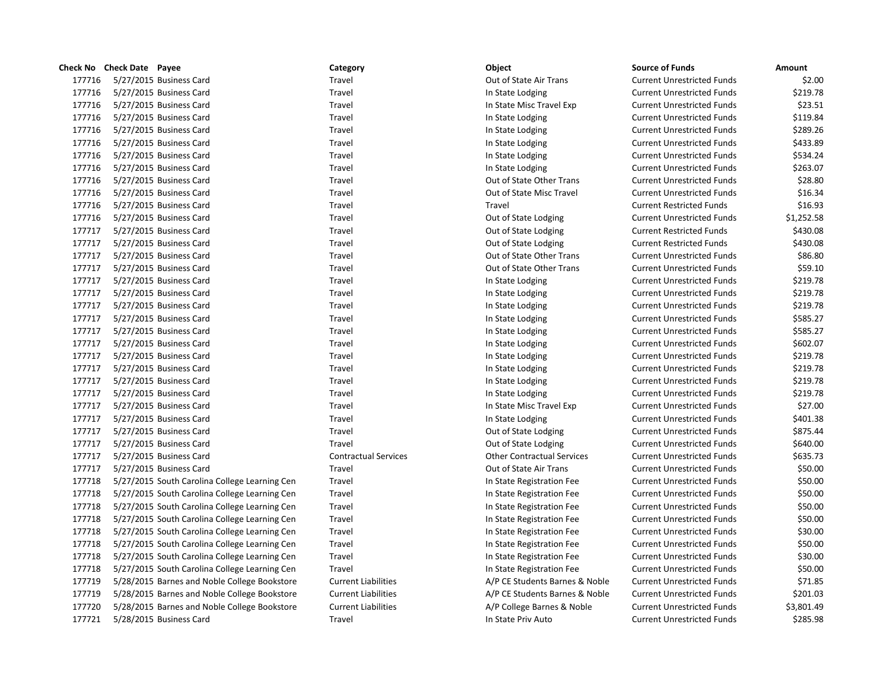|        | Check No Check Date Payee                     | Category                    | Object                            | <b>Source of Funds</b>            | Amount     |
|--------|-----------------------------------------------|-----------------------------|-----------------------------------|-----------------------------------|------------|
| 177716 | 5/27/2015 Business Card                       | Travel                      | Out of State Air Trans            | <b>Current Unrestricted Funds</b> | \$2.00     |
| 177716 | 5/27/2015 Business Card                       | Travel                      | In State Lodging                  | <b>Current Unrestricted Funds</b> | \$219.78   |
| 177716 | 5/27/2015 Business Card                       | Travel                      | In State Misc Travel Exp          | <b>Current Unrestricted Funds</b> | \$23.51    |
| 177716 | 5/27/2015 Business Card                       | Travel                      | In State Lodging                  | <b>Current Unrestricted Funds</b> | \$119.84   |
| 177716 | 5/27/2015 Business Card                       | Travel                      | In State Lodging                  | <b>Current Unrestricted Funds</b> | \$289.26   |
| 177716 | 5/27/2015 Business Card                       | Travel                      | In State Lodging                  | <b>Current Unrestricted Funds</b> | \$433.89   |
| 177716 | 5/27/2015 Business Card                       | Travel                      | In State Lodging                  | <b>Current Unrestricted Funds</b> | \$534.24   |
| 177716 | 5/27/2015 Business Card                       | Travel                      | In State Lodging                  | <b>Current Unrestricted Funds</b> | \$263.07   |
| 177716 | 5/27/2015 Business Card                       | Travel                      | Out of State Other Trans          | <b>Current Unrestricted Funds</b> | \$28.80    |
| 177716 | 5/27/2015 Business Card                       | Travel                      | Out of State Misc Travel          | <b>Current Unrestricted Funds</b> | \$16.34    |
| 177716 | 5/27/2015 Business Card                       | Travel                      | Travel                            | <b>Current Restricted Funds</b>   | \$16.93    |
| 177716 | 5/27/2015 Business Card                       | Travel                      | Out of State Lodging              | <b>Current Unrestricted Funds</b> | \$1,252.58 |
| 177717 | 5/27/2015 Business Card                       | Travel                      | Out of State Lodging              | <b>Current Restricted Funds</b>   | \$430.08   |
| 177717 | 5/27/2015 Business Card                       | Travel                      | Out of State Lodging              | <b>Current Restricted Funds</b>   | \$430.08   |
| 177717 | 5/27/2015 Business Card                       | Travel                      | Out of State Other Trans          | <b>Current Unrestricted Funds</b> | \$86.80    |
| 177717 | 5/27/2015 Business Card                       | Travel                      | Out of State Other Trans          | <b>Current Unrestricted Funds</b> | \$59.10    |
| 177717 | 5/27/2015 Business Card                       | Travel                      | In State Lodging                  | <b>Current Unrestricted Funds</b> | \$219.78   |
| 177717 | 5/27/2015 Business Card                       | Travel                      | In State Lodging                  | <b>Current Unrestricted Funds</b> | \$219.78   |
| 177717 | 5/27/2015 Business Card                       | Travel                      | In State Lodging                  | <b>Current Unrestricted Funds</b> | \$219.78   |
| 177717 | 5/27/2015 Business Card                       | Travel                      | In State Lodging                  | <b>Current Unrestricted Funds</b> | \$585.27   |
| 177717 | 5/27/2015 Business Card                       | Travel                      | In State Lodging                  | <b>Current Unrestricted Funds</b> | \$585.27   |
| 177717 | 5/27/2015 Business Card                       | Travel                      | In State Lodging                  | <b>Current Unrestricted Funds</b> | \$602.07   |
| 177717 | 5/27/2015 Business Card                       | Travel                      | In State Lodging                  | <b>Current Unrestricted Funds</b> | \$219.78   |
| 177717 | 5/27/2015 Business Card                       | Travel                      | In State Lodging                  | <b>Current Unrestricted Funds</b> | \$219.78   |
| 177717 | 5/27/2015 Business Card                       | Travel                      | In State Lodging                  | <b>Current Unrestricted Funds</b> | \$219.78   |
| 177717 | 5/27/2015 Business Card                       | Travel                      | In State Lodging                  | <b>Current Unrestricted Funds</b> | \$219.78   |
| 177717 | 5/27/2015 Business Card                       | Travel                      | In State Misc Travel Exp          | <b>Current Unrestricted Funds</b> | \$27.00    |
| 177717 | 5/27/2015 Business Card                       | Travel                      | In State Lodging                  | <b>Current Unrestricted Funds</b> | \$401.38   |
| 177717 | 5/27/2015 Business Card                       | Travel                      | Out of State Lodging              | <b>Current Unrestricted Funds</b> | \$875.44   |
| 177717 | 5/27/2015 Business Card                       | Travel                      | Out of State Lodging              | <b>Current Unrestricted Funds</b> | \$640.00   |
| 177717 | 5/27/2015 Business Card                       | <b>Contractual Services</b> | <b>Other Contractual Services</b> | <b>Current Unrestricted Funds</b> | \$635.73   |
| 177717 | 5/27/2015 Business Card                       | Travel                      | Out of State Air Trans            | <b>Current Unrestricted Funds</b> | \$50.00    |
| 177718 | 5/27/2015 South Carolina College Learning Cen | Travel                      | In State Registration Fee         | <b>Current Unrestricted Funds</b> | \$50.00    |
| 177718 | 5/27/2015 South Carolina College Learning Cen | Travel                      | In State Registration Fee         | <b>Current Unrestricted Funds</b> | \$50.00    |
| 177718 | 5/27/2015 South Carolina College Learning Cen | Travel                      | In State Registration Fee         | <b>Current Unrestricted Funds</b> | \$50.00    |
| 177718 | 5/27/2015 South Carolina College Learning Cen | Travel                      | In State Registration Fee         | <b>Current Unrestricted Funds</b> | \$50.00    |
| 177718 | 5/27/2015 South Carolina College Learning Cen | Travel                      | In State Registration Fee         | <b>Current Unrestricted Funds</b> | \$30.00    |
| 177718 | 5/27/2015 South Carolina College Learning Cen | Travel                      | In State Registration Fee         | <b>Current Unrestricted Funds</b> | \$50.00    |
| 177718 | 5/27/2015 South Carolina College Learning Cen | Travel                      | In State Registration Fee         | <b>Current Unrestricted Funds</b> | \$30.00    |
| 177718 | 5/27/2015 South Carolina College Learning Cen | Travel                      | In State Registration Fee         | <b>Current Unrestricted Funds</b> | \$50.00    |
| 177719 | 5/28/2015 Barnes and Noble College Bookstore  | <b>Current Liabilities</b>  | A/P CE Students Barnes & Noble    | <b>Current Unrestricted Funds</b> | \$71.85    |
| 177719 | 5/28/2015 Barnes and Noble College Bookstore  | <b>Current Liabilities</b>  | A/P CE Students Barnes & Noble    | <b>Current Unrestricted Funds</b> | \$201.03   |
| 177720 | 5/28/2015 Barnes and Noble College Bookstore  | <b>Current Liabilities</b>  | A/P College Barnes & Noble        | <b>Current Unrestricted Funds</b> | \$3,801.49 |
| 177721 | 5/28/2015 Business Card                       | Travel                      | In State Priv Auto                | <b>Current Unrestricted Funds</b> | \$285.98   |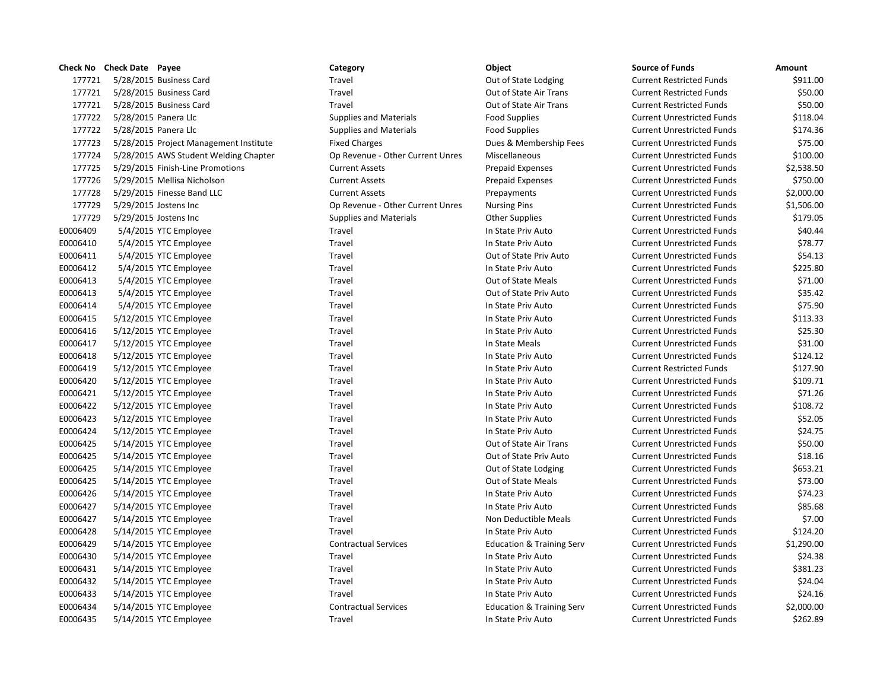|          | Check No Check Date Payee |                                        | Category                         | Object                               | <b>Source of Funds</b>            | Amount     |
|----------|---------------------------|----------------------------------------|----------------------------------|--------------------------------------|-----------------------------------|------------|
| 177721   |                           | 5/28/2015 Business Card                | Travel                           | Out of State Lodging                 | <b>Current Restricted Funds</b>   | \$911.00   |
| 177721   |                           | 5/28/2015 Business Card                | Travel                           | Out of State Air Trans               | <b>Current Restricted Funds</b>   | \$50.00    |
| 177721   |                           | 5/28/2015 Business Card                | Travel                           | Out of State Air Trans               | <b>Current Restricted Funds</b>   | \$50.00    |
| 177722   |                           | 5/28/2015 Panera Llc                   | <b>Supplies and Materials</b>    | <b>Food Supplies</b>                 | <b>Current Unrestricted Funds</b> | \$118.04   |
| 177722   |                           | 5/28/2015 Panera Llc                   | <b>Supplies and Materials</b>    | <b>Food Supplies</b>                 | <b>Current Unrestricted Funds</b> | \$174.36   |
| 177723   |                           | 5/28/2015 Project Management Institute | <b>Fixed Charges</b>             | Dues & Membership Fees               | <b>Current Unrestricted Funds</b> | \$75.00    |
| 177724   |                           | 5/28/2015 AWS Student Welding Chapter  | Op Revenue - Other Current Unres | Miscellaneous                        | <b>Current Unrestricted Funds</b> | \$100.00   |
| 177725   |                           | 5/29/2015 Finish-Line Promotions       | <b>Current Assets</b>            | <b>Prepaid Expenses</b>              | <b>Current Unrestricted Funds</b> | \$2,538.50 |
| 177726   |                           | 5/29/2015 Mellisa Nicholson            | <b>Current Assets</b>            | <b>Prepaid Expenses</b>              | <b>Current Unrestricted Funds</b> | \$750.00   |
| 177728   |                           | 5/29/2015 Finesse Band LLC             | <b>Current Assets</b>            | Prepayments                          | <b>Current Unrestricted Funds</b> | \$2,000.00 |
| 177729   |                           | 5/29/2015 Jostens Inc                  | Op Revenue - Other Current Unres | <b>Nursing Pins</b>                  | <b>Current Unrestricted Funds</b> | \$1,506.00 |
| 177729   |                           | 5/29/2015 Jostens Inc                  | <b>Supplies and Materials</b>    | <b>Other Supplies</b>                | <b>Current Unrestricted Funds</b> | \$179.05   |
| E0006409 |                           | 5/4/2015 YTC Employee                  | Travel                           | In State Priv Auto                   | <b>Current Unrestricted Funds</b> | \$40.44    |
| E0006410 |                           | 5/4/2015 YTC Employee                  | Travel                           | In State Priv Auto                   | <b>Current Unrestricted Funds</b> | \$78.77    |
| E0006411 |                           | 5/4/2015 YTC Employee                  | Travel                           | Out of State Priv Auto               | <b>Current Unrestricted Funds</b> | \$54.13    |
| E0006412 |                           | 5/4/2015 YTC Employee                  | Travel                           | In State Priv Auto                   | <b>Current Unrestricted Funds</b> | \$225.80   |
| E0006413 |                           | 5/4/2015 YTC Employee                  | Travel                           | Out of State Meals                   | <b>Current Unrestricted Funds</b> | \$71.00    |
| E0006413 |                           | 5/4/2015 YTC Employee                  | Travel                           | Out of State Priv Auto               | <b>Current Unrestricted Funds</b> | \$35.42    |
| E0006414 |                           | 5/4/2015 YTC Employee                  | Travel                           | In State Priv Auto                   | <b>Current Unrestricted Funds</b> | \$75.90    |
| E0006415 |                           | 5/12/2015 YTC Employee                 | Travel                           | In State Priv Auto                   | <b>Current Unrestricted Funds</b> | \$113.33   |
| E0006416 |                           | 5/12/2015 YTC Employee                 | Travel                           | In State Priv Auto                   | <b>Current Unrestricted Funds</b> | \$25.30    |
| E0006417 |                           | 5/12/2015 YTC Employee                 | Travel                           | In State Meals                       | <b>Current Unrestricted Funds</b> | \$31.00    |
| E0006418 |                           | 5/12/2015 YTC Employee                 | Travel                           | In State Priv Auto                   | <b>Current Unrestricted Funds</b> | \$124.12   |
| E0006419 |                           | 5/12/2015 YTC Employee                 | Travel                           | In State Priv Auto                   | <b>Current Restricted Funds</b>   | \$127.90   |
| E0006420 |                           | 5/12/2015 YTC Employee                 | Travel                           | In State Priv Auto                   | <b>Current Unrestricted Funds</b> | \$109.71   |
| E0006421 |                           | 5/12/2015 YTC Employee                 | Travel                           | In State Priv Auto                   | <b>Current Unrestricted Funds</b> | \$71.26    |
| E0006422 |                           | 5/12/2015 YTC Employee                 | Travel                           | In State Priv Auto                   | <b>Current Unrestricted Funds</b> | \$108.72   |
| E0006423 |                           | 5/12/2015 YTC Employee                 | Travel                           | In State Priv Auto                   | <b>Current Unrestricted Funds</b> | \$52.05    |
| E0006424 |                           | 5/12/2015 YTC Employee                 | Travel                           | In State Priv Auto                   | <b>Current Unrestricted Funds</b> | \$24.75    |
| E0006425 |                           | 5/14/2015 YTC Employee                 | Travel                           | Out of State Air Trans               | <b>Current Unrestricted Funds</b> | \$50.00    |
| E0006425 |                           | 5/14/2015 YTC Employee                 | Travel                           | Out of State Priv Auto               | <b>Current Unrestricted Funds</b> | \$18.16    |
| E0006425 |                           | 5/14/2015 YTC Employee                 | Travel                           | Out of State Lodging                 | <b>Current Unrestricted Funds</b> | \$653.21   |
| E0006425 |                           | 5/14/2015 YTC Employee                 | Travel                           | Out of State Meals                   | <b>Current Unrestricted Funds</b> | \$73.00    |
| E0006426 |                           | 5/14/2015 YTC Employee                 | Travel                           | In State Priv Auto                   | <b>Current Unrestricted Funds</b> | \$74.23    |
| E0006427 |                           | 5/14/2015 YTC Employee                 | Travel                           | In State Priv Auto                   | <b>Current Unrestricted Funds</b> | \$85.68    |
| E0006427 |                           | 5/14/2015 YTC Employee                 | Travel                           | Non Deductible Meals                 | <b>Current Unrestricted Funds</b> | \$7.00     |
| E0006428 |                           | 5/14/2015 YTC Employee                 | Travel                           | In State Priv Auto                   | <b>Current Unrestricted Funds</b> | \$124.20   |
| E0006429 |                           | 5/14/2015 YTC Employee                 | <b>Contractual Services</b>      | <b>Education &amp; Training Serv</b> | <b>Current Unrestricted Funds</b> | \$1,290.00 |
| E0006430 |                           | 5/14/2015 YTC Employee                 | Travel                           | In State Priv Auto                   | <b>Current Unrestricted Funds</b> | \$24.38    |
| E0006431 |                           | 5/14/2015 YTC Employee                 | Travel                           | In State Priv Auto                   | <b>Current Unrestricted Funds</b> | \$381.23   |
| E0006432 |                           | 5/14/2015 YTC Employee                 | Travel                           | In State Priv Auto                   | <b>Current Unrestricted Funds</b> | \$24.04    |
| E0006433 |                           | 5/14/2015 YTC Employee                 | Travel                           | In State Priv Auto                   | <b>Current Unrestricted Funds</b> | \$24.16    |
| E0006434 |                           | 5/14/2015 YTC Employee                 | <b>Contractual Services</b>      | <b>Education &amp; Training Serv</b> | <b>Current Unrestricted Funds</b> | \$2,000.00 |
| E0006435 |                           | 5/14/2015 YTC Employee                 | Travel                           | In State Priv Auto                   | <b>Current Unrestricted Funds</b> | \$262.89   |

|          | Category                         | Object                               |
|----------|----------------------------------|--------------------------------------|
|          | Travel                           | Out of State Lodging                 |
|          | Travel                           | Out of State Air Trans               |
|          | Travel                           | Out of State Air Trans               |
|          | <b>Supplies and Materials</b>    | <b>Food Supplies</b>                 |
|          | <b>Supplies and Materials</b>    | <b>Food Supplies</b>                 |
| าstitute | <b>Fixed Charges</b>             | Dues & Membership Fees               |
| Chapter  | Op Revenue - Other Current Unres | Miscellaneous                        |
|          | <b>Current Assets</b>            | <b>Prepaid Expenses</b>              |
|          | <b>Current Assets</b>            | <b>Prepaid Expenses</b>              |
|          | <b>Current Assets</b>            | Prepayments                          |
|          | Op Revenue - Other Current Unres | <b>Nursing Pins</b>                  |
|          | <b>Supplies and Materials</b>    | <b>Other Supplies</b>                |
|          | Travel                           | In State Priv Auto                   |
|          | Travel                           | In State Priv Auto                   |
|          | Travel                           | Out of State Priv Auto               |
|          | Travel                           | In State Priv Auto                   |
|          | Travel                           | Out of State Meals                   |
|          | Travel                           | Out of State Priv Auto               |
|          | Travel                           | In State Priv Auto                   |
|          | Travel                           | In State Priv Auto                   |
|          | Travel                           | In State Priv Auto                   |
|          | Travel                           | In State Meals                       |
|          | Travel                           | In State Priv Auto                   |
|          | Travel                           | In State Priv Auto                   |
|          | Travel                           | In State Priv Auto                   |
|          | Travel                           | In State Priv Auto                   |
|          | Travel                           | In State Priv Auto                   |
|          | Travel                           | In State Priv Auto                   |
|          | Travel                           | In State Priv Auto                   |
|          | Travel                           | Out of State Air Trans               |
|          | Travel                           | Out of State Priv Auto               |
|          | Travel                           | Out of State Lodging                 |
|          | Travel                           | Out of State Meals                   |
|          | Travel                           | In State Priv Auto                   |
|          | Travel                           | In State Priv Auto                   |
|          | Travel                           | Non Deductible Meals                 |
|          | Travel                           | In State Priv Auto                   |
|          | <b>Contractual Services</b>      | <b>Education &amp; Training Serv</b> |
|          | Travel                           | In State Priv Auto                   |
|          | Travel                           | In State Priv Auto                   |
|          | Travel                           | In State Priv Auto                   |
|          | Travel                           | In State Priv Auto                   |
|          | <b>Contractual Services</b>      | <b>Education &amp; Training Serv</b> |
|          | Travel                           | In State Priv Auto                   |

|          | Check No Check Date Payee              | Category                         | Object                               | <b>Source of Funds</b>            | Amount     |
|----------|----------------------------------------|----------------------------------|--------------------------------------|-----------------------------------|------------|
| 177721   | 5/28/2015 Business Card                | Travel                           | Out of State Lodging                 | <b>Current Restricted Funds</b>   | \$911.00   |
| 177721   | 5/28/2015 Business Card                | Travel                           | Out of State Air Trans               | <b>Current Restricted Funds</b>   | \$50.00    |
| 177721   | 5/28/2015 Business Card                | Travel                           | Out of State Air Trans               | <b>Current Restricted Funds</b>   | \$50.00    |
| 177722   | 5/28/2015 Panera Llc                   | <b>Supplies and Materials</b>    | <b>Food Supplies</b>                 | <b>Current Unrestricted Funds</b> | \$118.04   |
| 177722   | 5/28/2015 Panera Llc                   | <b>Supplies and Materials</b>    | <b>Food Supplies</b>                 | <b>Current Unrestricted Funds</b> | \$174.36   |
| 177723   | 5/28/2015 Project Management Institute | <b>Fixed Charges</b>             | Dues & Membership Fees               | <b>Current Unrestricted Funds</b> | \$75.00    |
| 177724   | 5/28/2015 AWS Student Welding Chapter  | Op Revenue - Other Current Unres | Miscellaneous                        | <b>Current Unrestricted Funds</b> | \$100.00   |
| 177725   | 5/29/2015 Finish-Line Promotions       | <b>Current Assets</b>            | <b>Prepaid Expenses</b>              | <b>Current Unrestricted Funds</b> | \$2,538.50 |
| 177726   | 5/29/2015 Mellisa Nicholson            | <b>Current Assets</b>            | <b>Prepaid Expenses</b>              | <b>Current Unrestricted Funds</b> | \$750.00   |
| 177728   | 5/29/2015 Finesse Band LLC             | <b>Current Assets</b>            | Prepayments                          | <b>Current Unrestricted Funds</b> | \$2,000.00 |
| 177729   | 5/29/2015 Jostens Inc                  | Op Revenue - Other Current Unres | <b>Nursing Pins</b>                  | <b>Current Unrestricted Funds</b> | \$1,506.00 |
| 177729   | 5/29/2015 Jostens Inc                  | <b>Supplies and Materials</b>    | <b>Other Supplies</b>                | <b>Current Unrestricted Funds</b> | \$179.05   |
| E0006409 | 5/4/2015 YTC Employee                  | Travel                           | In State Priv Auto                   | <b>Current Unrestricted Funds</b> | \$40.44    |
| E0006410 | 5/4/2015 YTC Employee                  | Travel                           | In State Priv Auto                   | <b>Current Unrestricted Funds</b> | \$78.77    |
| E0006411 | 5/4/2015 YTC Employee                  | Travel                           | Out of State Priv Auto               | <b>Current Unrestricted Funds</b> | \$54.13    |
| E0006412 | 5/4/2015 YTC Employee                  | Travel                           | In State Priv Auto                   | <b>Current Unrestricted Funds</b> | \$225.80   |
| E0006413 | 5/4/2015 YTC Employee                  | Travel                           | Out of State Meals                   | <b>Current Unrestricted Funds</b> | \$71.00    |
| E0006413 | 5/4/2015 YTC Employee                  | Travel                           | Out of State Priv Auto               | <b>Current Unrestricted Funds</b> | \$35.42    |
| E0006414 | 5/4/2015 YTC Employee                  | Travel                           | In State Priv Auto                   | <b>Current Unrestricted Funds</b> | \$75.90    |
| E0006415 | 5/12/2015 YTC Employee                 | Travel                           | In State Priv Auto                   | <b>Current Unrestricted Funds</b> | \$113.33   |
| E0006416 | 5/12/2015 YTC Employee                 | Travel                           | In State Priv Auto                   | <b>Current Unrestricted Funds</b> | \$25.30    |
| E0006417 | 5/12/2015 YTC Employee                 | Travel                           | In State Meals                       | <b>Current Unrestricted Funds</b> | \$31.00    |
| E0006418 | 5/12/2015 YTC Employee                 | Travel                           | In State Priv Auto                   | <b>Current Unrestricted Funds</b> | \$124.12   |
| E0006419 | 5/12/2015 YTC Employee                 | Travel                           | In State Priv Auto                   | <b>Current Restricted Funds</b>   | \$127.90   |
| E0006420 | 5/12/2015 YTC Employee                 | Travel                           | In State Priv Auto                   | <b>Current Unrestricted Funds</b> | \$109.71   |
| E0006421 | 5/12/2015 YTC Employee                 | Travel                           | In State Priv Auto                   | <b>Current Unrestricted Funds</b> | \$71.26    |
| E0006422 | 5/12/2015 YTC Employee                 | Travel                           | In State Priv Auto                   | <b>Current Unrestricted Funds</b> | \$108.72   |
| E0006423 | 5/12/2015 YTC Employee                 | Travel                           | In State Priv Auto                   | <b>Current Unrestricted Funds</b> | \$52.05    |
| E0006424 | 5/12/2015 YTC Employee                 | Travel                           | In State Priv Auto                   | <b>Current Unrestricted Funds</b> | \$24.75    |
| E0006425 | 5/14/2015 YTC Employee                 | Travel                           | Out of State Air Trans               | <b>Current Unrestricted Funds</b> | \$50.00    |
| E0006425 | 5/14/2015 YTC Employee                 | Travel                           | Out of State Priv Auto               | <b>Current Unrestricted Funds</b> | \$18.16    |
| E0006425 | 5/14/2015 YTC Employee                 | Travel                           | Out of State Lodging                 | <b>Current Unrestricted Funds</b> | \$653.21   |
| E0006425 | 5/14/2015 YTC Employee                 | Travel                           | Out of State Meals                   | <b>Current Unrestricted Funds</b> | \$73.00    |
| E0006426 | 5/14/2015 YTC Employee                 | Travel                           | In State Priv Auto                   | <b>Current Unrestricted Funds</b> | \$74.23    |
| E0006427 | 5/14/2015 YTC Employee                 | Travel                           | In State Priv Auto                   | <b>Current Unrestricted Funds</b> | \$85.68    |
| E0006427 | 5/14/2015 YTC Employee                 | Travel                           | Non Deductible Meals                 | <b>Current Unrestricted Funds</b> | \$7.00     |
| E0006428 | 5/14/2015 YTC Employee                 | Travel                           | In State Priv Auto                   | <b>Current Unrestricted Funds</b> | \$124.20   |
| E0006429 | 5/14/2015 YTC Employee                 | <b>Contractual Services</b>      | <b>Education &amp; Training Serv</b> | <b>Current Unrestricted Funds</b> | \$1,290.00 |
| E0006430 | 5/14/2015 YTC Employee                 | Travel                           | In State Priv Auto                   | <b>Current Unrestricted Funds</b> | \$24.38    |
| E0006431 | 5/14/2015 YTC Employee                 | Travel                           | In State Priv Auto                   | <b>Current Unrestricted Funds</b> | \$381.23   |
| E0006432 | 5/14/2015 YTC Employee                 | Travel                           | In State Priv Auto                   | <b>Current Unrestricted Funds</b> | \$24.04    |
| E0006433 | 5/14/2015 YTC Employee                 | Travel                           | In State Priv Auto                   | <b>Current Unrestricted Funds</b> | \$24.16    |
| E0006434 | 5/14/2015 YTC Employee                 | <b>Contractual Services</b>      | <b>Education &amp; Training Serv</b> | <b>Current Unrestricted Funds</b> | \$2,000.00 |
| F0006435 | 5/14/2015 YTC Employee                 | Travel                           | In State Priv Auto                   | <b>Current Unrestricted Funds</b> | \$262.89   |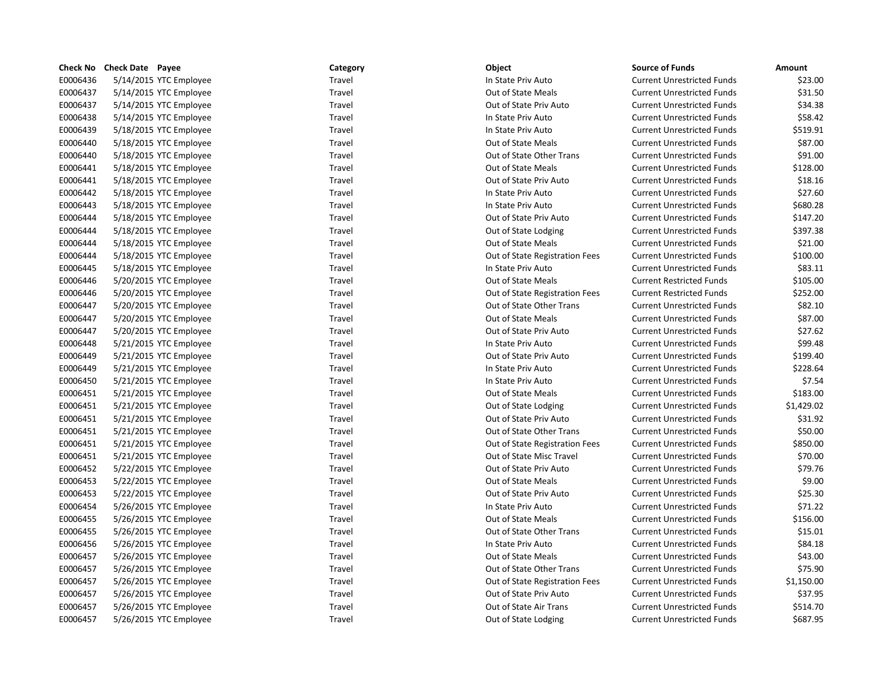| <b>Check No</b> | <b>Check Date Payee</b> | Category | Object                         | <b>Source of Funds</b>            | Amount     |
|-----------------|-------------------------|----------|--------------------------------|-----------------------------------|------------|
| E0006436        | 5/14/2015 YTC Employee  | Travel   | In State Priv Auto             | <b>Current Unrestricted Funds</b> | \$23.00    |
| E0006437        | 5/14/2015 YTC Employee  | Travel   | Out of State Meals             | <b>Current Unrestricted Funds</b> | \$31.50    |
| E0006437        | 5/14/2015 YTC Employee  | Travel   | Out of State Priv Auto         | <b>Current Unrestricted Funds</b> | \$34.38    |
| E0006438        | 5/14/2015 YTC Employee  | Travel   | In State Priv Auto             | <b>Current Unrestricted Funds</b> | \$58.42    |
| E0006439        | 5/18/2015 YTC Employee  | Travel   | In State Priv Auto             | <b>Current Unrestricted Funds</b> | \$519.91   |
| E0006440        | 5/18/2015 YTC Employee  | Travel   | Out of State Meals             | <b>Current Unrestricted Funds</b> | \$87.00    |
| E0006440        | 5/18/2015 YTC Employee  | Travel   | Out of State Other Trans       | <b>Current Unrestricted Funds</b> | \$91.00    |
| E0006441        | 5/18/2015 YTC Employee  | Travel   | Out of State Meals             | <b>Current Unrestricted Funds</b> | \$128.00   |
| E0006441        | 5/18/2015 YTC Employee  | Travel   | Out of State Priv Auto         | <b>Current Unrestricted Funds</b> | \$18.16    |
| E0006442        | 5/18/2015 YTC Employee  | Travel   | In State Priv Auto             | <b>Current Unrestricted Funds</b> | \$27.60    |
| E0006443        | 5/18/2015 YTC Employee  | Travel   | In State Priv Auto             | <b>Current Unrestricted Funds</b> | \$680.28   |
| E0006444        | 5/18/2015 YTC Employee  | Travel   | Out of State Priv Auto         | <b>Current Unrestricted Funds</b> | \$147.20   |
| E0006444        | 5/18/2015 YTC Employee  | Travel   | Out of State Lodging           | <b>Current Unrestricted Funds</b> | \$397.38   |
| E0006444        | 5/18/2015 YTC Employee  | Travel   | Out of State Meals             | <b>Current Unrestricted Funds</b> | \$21.00    |
| E0006444        | 5/18/2015 YTC Employee  | Travel   | Out of State Registration Fees | <b>Current Unrestricted Funds</b> | \$100.00   |
| E0006445        | 5/18/2015 YTC Employee  | Travel   | In State Priv Auto             | <b>Current Unrestricted Funds</b> | \$83.11    |
| E0006446        | 5/20/2015 YTC Employee  | Travel   | Out of State Meals             | <b>Current Restricted Funds</b>   | \$105.00   |
| E0006446        | 5/20/2015 YTC Employee  | Travel   | Out of State Registration Fees | <b>Current Restricted Funds</b>   | \$252.00   |
| E0006447        | 5/20/2015 YTC Employee  | Travel   | Out of State Other Trans       | <b>Current Unrestricted Funds</b> | \$82.10    |
| E0006447        | 5/20/2015 YTC Employee  | Travel   | Out of State Meals             | <b>Current Unrestricted Funds</b> | \$87.00    |
| E0006447        | 5/20/2015 YTC Employee  | Travel   | Out of State Priv Auto         | <b>Current Unrestricted Funds</b> | \$27.62    |
| E0006448        | 5/21/2015 YTC Employee  | Travel   | In State Priv Auto             | <b>Current Unrestricted Funds</b> | \$99.48    |
| E0006449        | 5/21/2015 YTC Employee  | Travel   | Out of State Priv Auto         | <b>Current Unrestricted Funds</b> | \$199.40   |
| E0006449        | 5/21/2015 YTC Employee  | Travel   | In State Priv Auto             | <b>Current Unrestricted Funds</b> | \$228.64   |
| E0006450        | 5/21/2015 YTC Employee  | Travel   | In State Priv Auto             | <b>Current Unrestricted Funds</b> | \$7.54     |
| E0006451        | 5/21/2015 YTC Employee  | Travel   | Out of State Meals             | <b>Current Unrestricted Funds</b> | \$183.00   |
| E0006451        | 5/21/2015 YTC Employee  | Travel   | Out of State Lodging           | <b>Current Unrestricted Funds</b> | \$1,429.02 |
| E0006451        | 5/21/2015 YTC Employee  | Travel   | Out of State Priv Auto         | <b>Current Unrestricted Funds</b> | \$31.92    |
| E0006451        | 5/21/2015 YTC Employee  | Travel   | Out of State Other Trans       | <b>Current Unrestricted Funds</b> | \$50.00    |
| E0006451        | 5/21/2015 YTC Employee  | Travel   | Out of State Registration Fees | <b>Current Unrestricted Funds</b> | \$850.00   |
| E0006451        | 5/21/2015 YTC Employee  | Travel   | Out of State Misc Travel       | <b>Current Unrestricted Funds</b> | \$70.00    |
| E0006452        | 5/22/2015 YTC Employee  | Travel   | Out of State Priv Auto         | <b>Current Unrestricted Funds</b> | \$79.76    |
| E0006453        | 5/22/2015 YTC Employee  | Travel   | Out of State Meals             | <b>Current Unrestricted Funds</b> | \$9.00     |
| E0006453        | 5/22/2015 YTC Employee  | Travel   | Out of State Priv Auto         | <b>Current Unrestricted Funds</b> | \$25.30    |
| E0006454        | 5/26/2015 YTC Employee  | Travel   | In State Priv Auto             | <b>Current Unrestricted Funds</b> | \$71.22    |
| E0006455        | 5/26/2015 YTC Employee  | Travel   | Out of State Meals             | <b>Current Unrestricted Funds</b> | \$156.00   |
| E0006455        | 5/26/2015 YTC Employee  | Travel   | Out of State Other Trans       | <b>Current Unrestricted Funds</b> | \$15.01    |
| E0006456        | 5/26/2015 YTC Employee  | Travel   | In State Priv Auto             | <b>Current Unrestricted Funds</b> | \$84.18    |
| E0006457        | 5/26/2015 YTC Employee  | Travel   | Out of State Meals             | <b>Current Unrestricted Funds</b> | \$43.00    |
| E0006457        | 5/26/2015 YTC Employee  | Travel   | Out of State Other Trans       | <b>Current Unrestricted Funds</b> | \$75.90    |
| E0006457        | 5/26/2015 YTC Employee  | Travel   | Out of State Registration Fees | <b>Current Unrestricted Funds</b> | \$1,150.00 |
| E0006457        | 5/26/2015 YTC Employee  | Travel   | Out of State Priv Auto         | <b>Current Unrestricted Funds</b> | \$37.95    |
| E0006457        | 5/26/2015 YTC Employee  | Travel   | Out of State Air Trans         | <b>Current Unrestricted Funds</b> | \$514.70   |
| E0006457        | 5/26/2015 YTC Employee  | Travel   | Out of State Lodging           | <b>Current Unrestricted Funds</b> | \$687.95   |